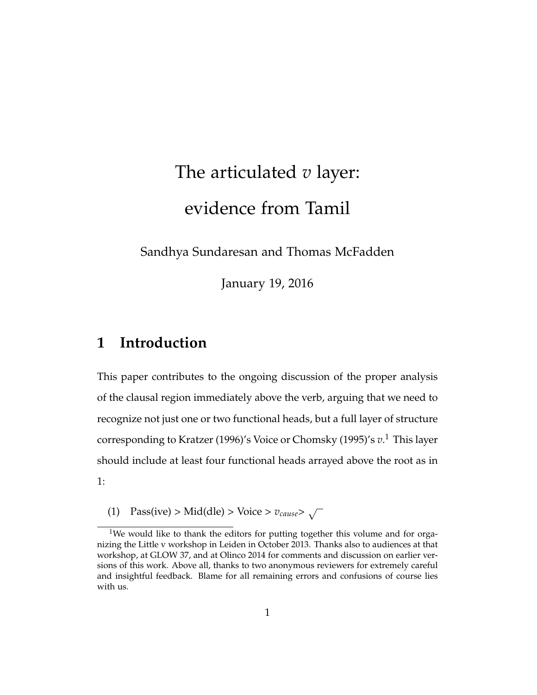# The articulated *v* layer: evidence from Tamil

Sandhya Sundaresan and Thomas McFadden

January 19, 2016

# **1 Introduction**

This paper contributes to the ongoing discussion of the proper analysis of the clausal region immediately above the verb, arguing that we need to recognize not just one or two functional heads, but a full layer of structure corresponding to Kratzer (1996)'s Voice or Chomsky (1995)'s *v*. <sup>1</sup> This layer should include at least four functional heads arrayed above the root as in 1:

(1) Pass(ive) > Mid(dle) > Voice >  $v_{cause}$ >  $\sqrt{}$ 

<sup>&</sup>lt;sup>1</sup>We would like to thank the editors for putting together this volume and for organizing the Little v workshop in Leiden in October 2013. Thanks also to audiences at that workshop, at GLOW 37, and at Olinco 2014 for comments and discussion on earlier versions of this work. Above all, thanks to two anonymous reviewers for extremely careful and insightful feedback. Blame for all remaining errors and confusions of course lies with us.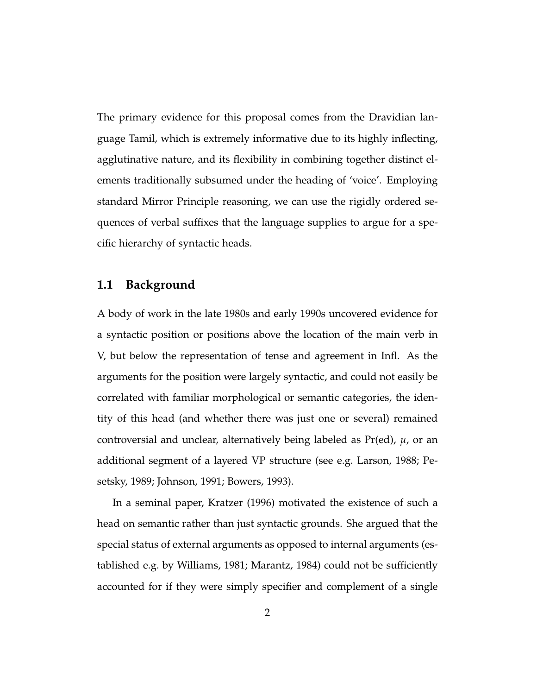The primary evidence for this proposal comes from the Dravidian language Tamil, which is extremely informative due to its highly inflecting, agglutinative nature, and its flexibility in combining together distinct elements traditionally subsumed under the heading of 'voice'. Employing standard Mirror Principle reasoning, we can use the rigidly ordered sequences of verbal suffixes that the language supplies to argue for a specific hierarchy of syntactic heads.

#### **1.1 Background**

A body of work in the late 1980s and early 1990s uncovered evidence for a syntactic position or positions above the location of the main verb in V, but below the representation of tense and agreement in Infl. As the arguments for the position were largely syntactic, and could not easily be correlated with familiar morphological or semantic categories, the identity of this head (and whether there was just one or several) remained controversial and unclear, alternatively being labeled as Pr(ed), *µ*, or an additional segment of a layered VP structure (see e.g. Larson, 1988; Pesetsky, 1989; Johnson, 1991; Bowers, 1993).

In a seminal paper, Kratzer (1996) motivated the existence of such a head on semantic rather than just syntactic grounds. She argued that the special status of external arguments as opposed to internal arguments (established e.g. by Williams, 1981; Marantz, 1984) could not be sufficiently accounted for if they were simply specifier and complement of a single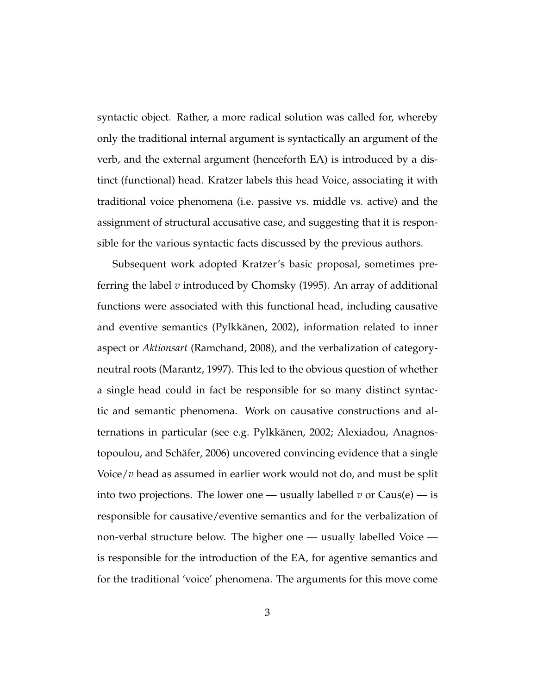syntactic object. Rather, a more radical solution was called for, whereby only the traditional internal argument is syntactically an argument of the verb, and the external argument (henceforth EA) is introduced by a distinct (functional) head. Kratzer labels this head Voice, associating it with traditional voice phenomena (i.e. passive vs. middle vs. active) and the assignment of structural accusative case, and suggesting that it is responsible for the various syntactic facts discussed by the previous authors.

Subsequent work adopted Kratzer's basic proposal, sometimes preferring the label *v* introduced by Chomsky (1995). An array of additional functions were associated with this functional head, including causative and eventive semantics (Pylkkänen, 2002), information related to inner aspect or *Aktionsart* (Ramchand, 2008), and the verbalization of categoryneutral roots (Marantz, 1997). This led to the obvious question of whether a single head could in fact be responsible for so many distinct syntactic and semantic phenomena. Work on causative constructions and alternations in particular (see e.g. Pylkkänen, 2002; Alexiadou, Anagnostopoulou, and Schäfer, 2006) uncovered convincing evidence that a single Voice/*v* head as assumed in earlier work would not do, and must be split into two projections. The lower one — usually labelled  $v$  or  $\text{Caus}(e)$  — is responsible for causative/eventive semantics and for the verbalization of non-verbal structure below. The higher one — usually labelled Voice is responsible for the introduction of the EA, for agentive semantics and for the traditional 'voice' phenomena. The arguments for this move come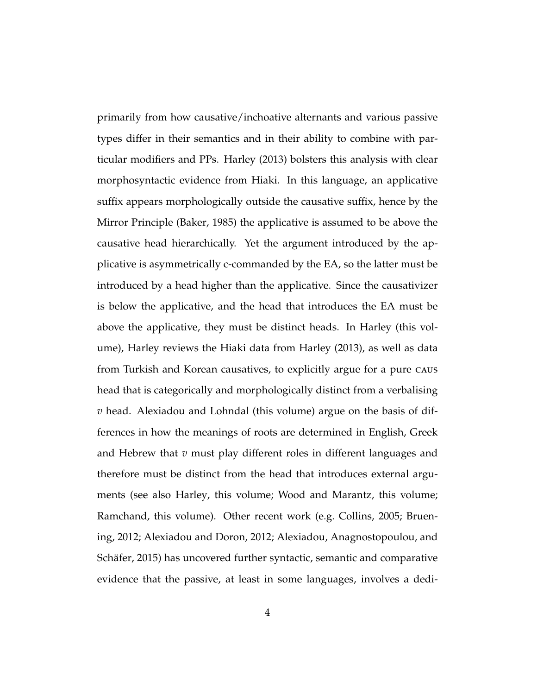primarily from how causative/inchoative alternants and various passive types differ in their semantics and in their ability to combine with particular modifiers and PPs. Harley (2013) bolsters this analysis with clear morphosyntactic evidence from Hiaki. In this language, an applicative suffix appears morphologically outside the causative suffix, hence by the Mirror Principle (Baker, 1985) the applicative is assumed to be above the causative head hierarchically. Yet the argument introduced by the applicative is asymmetrically c-commanded by the EA, so the latter must be introduced by a head higher than the applicative. Since the causativizer is below the applicative, and the head that introduces the EA must be above the applicative, they must be distinct heads. In Harley (this volume), Harley reviews the Hiaki data from Harley (2013), as well as data from Turkish and Korean causatives, to explicitly argue for a pure caus head that is categorically and morphologically distinct from a verbalising *v* head. Alexiadou and Lohndal (this volume) argue on the basis of differences in how the meanings of roots are determined in English, Greek and Hebrew that *v* must play different roles in different languages and therefore must be distinct from the head that introduces external arguments (see also Harley, this volume; Wood and Marantz, this volume; Ramchand, this volume). Other recent work (e.g. Collins, 2005; Bruening, 2012; Alexiadou and Doron, 2012; Alexiadou, Anagnostopoulou, and Schäfer, 2015) has uncovered further syntactic, semantic and comparative evidence that the passive, at least in some languages, involves a dedi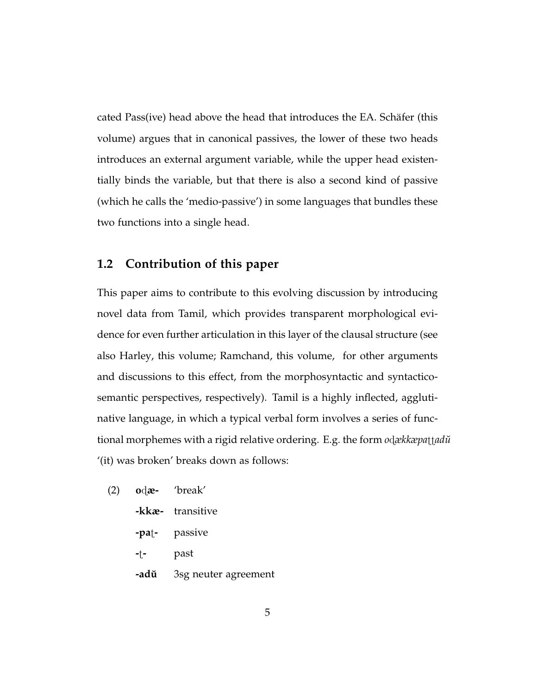cated Pass(ive) head above the head that introduces the EA. Schäfer (this volume) argues that in canonical passives, the lower of these two heads introduces an external argument variable, while the upper head existentially binds the variable, but that there is also a second kind of passive (which he calls the 'medio-passive') in some languages that bundles these two functions into a single head.

#### **1.2 Contribution of this paper**

This paper aims to contribute to this evolving discussion by introducing novel data from Tamil, which provides transparent morphological evidence for even further articulation in this layer of the clausal structure (see also Harley, this volume; Ramchand, this volume, for other arguments and discussions to this effect, from the morphosyntactic and syntacticosemantic perspectives, respectively). Tamil is a highly inflected, agglutinative language, in which a typical verbal form involves a series of functional morphemes with a rigid relative ordering. E.g. the form *odækkæpattadu*<del></del> '(it) was broken' breaks down as follows:

- (2) **o**ã**æ-** 'break'
	- **-kkæ-** transitive
	- **-pa**t<sub>-</sub> passive
	- **-**ú**-** past
	- **-adu˘** 3sg neuter agreement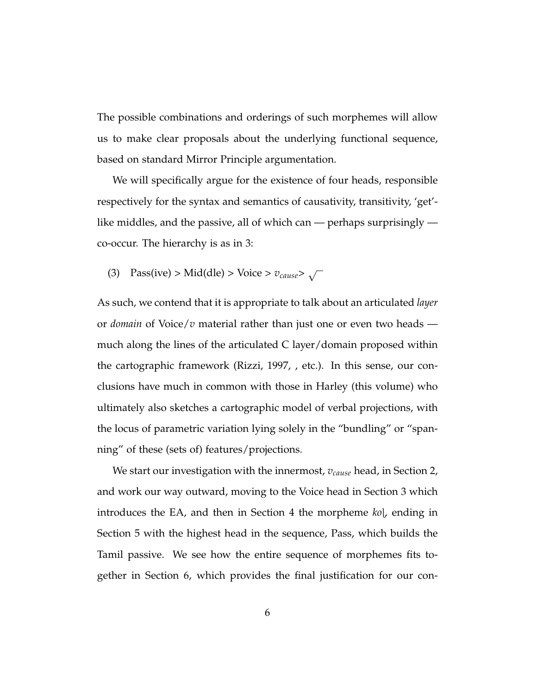The possible combinations and orderings of such morphemes will allow us to make clear proposals about the underlying functional sequence, based on standard Mirror Principle argumentation.

We will specifically argue for the existence of four heads, responsible respectively for the syntax and semantics of causativity, transitivity, 'get' like middles, and the passive, all of which can — perhaps surprisingly co-occur. The hierarchy is as in 3:

(3) Pass(ive) > Mid(dle) > Voice >  $v_{cause}$ >  $\sqrt{}$ 

As such, we contend that it is appropriate to talk about an articulated *layer* or *domain* of Voice/*v* material rather than just one or even two heads much along the lines of the articulated C layer/domain proposed within the cartographic framework (Rizzi, 1997, , etc.). In this sense, our conclusions have much in common with those in Harley (this volume) who ultimately also sketches a cartographic model of verbal projections, with the locus of parametric variation lying solely in the "bundling" or "spanning" of these (sets of) features/projections.

We start our investigation with the innermost, *vcause* head, in Section 2, and work our way outward, moving to the Voice head in Section 3 which introduces the EA, and then in Section 4 the morpheme *ko*<sub>l</sub>, ending in Section 5 with the highest head in the sequence, Pass, which builds the Tamil passive. We see how the entire sequence of morphemes fits together in Section 6, which provides the final justification for our con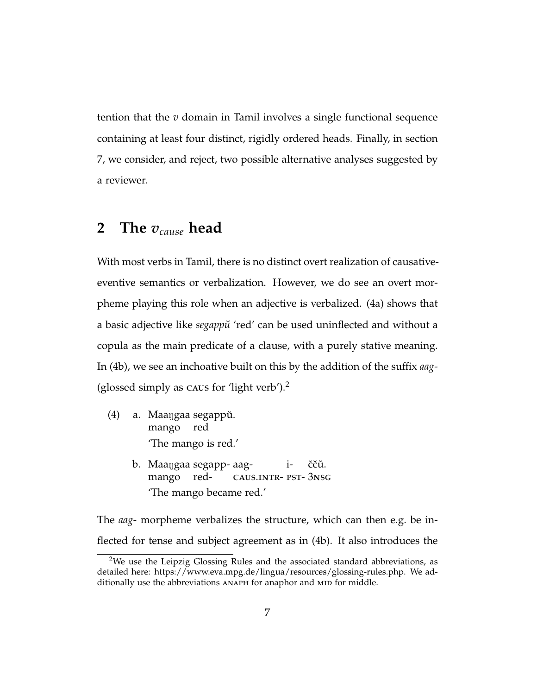tention that the *v* domain in Tamil involves a single functional sequence containing at least four distinct, rigidly ordered heads. Finally, in section 7, we consider, and reject, two possible alternative analyses suggested by a reviewer.

# **2 The** *vcause* **head**

With most verbs in Tamil, there is no distinct overt realization of causativeeventive semantics or verbalization. However, we do see an overt morpheme playing this role when an adjective is verbalized. (4a) shows that a basic adjective like *segappu˘* 'red' can be used uninflected and without a copula as the main predicate of a clause, with a purely stative meaning. In (4b), we see an inchoative built on this by the addition of the suffix *aag-* (glossed simply as caus for 'light verb').<sup>2</sup>

- (4) a. Maangaa segappŭ. mango red 'The mango is red.'
	- b.) Maaŋgaa segapp- aagmango redcaus.intr-pst-3nsg iččŭ. 'The mango became red.'

The *aag-* morpheme verbalizes the structure, which can then e.g. be inflected for tense and subject agreement as in (4b). It also introduces the

<sup>&</sup>lt;sup>2</sup>We use the Leipzig Glossing Rules and the associated standard abbreviations, as detailed here: https://www.eva.mpg.de/lingua/resources/glossing-rules.php. We additionally use the abbreviations ANAPH for anaphor and MID for middle.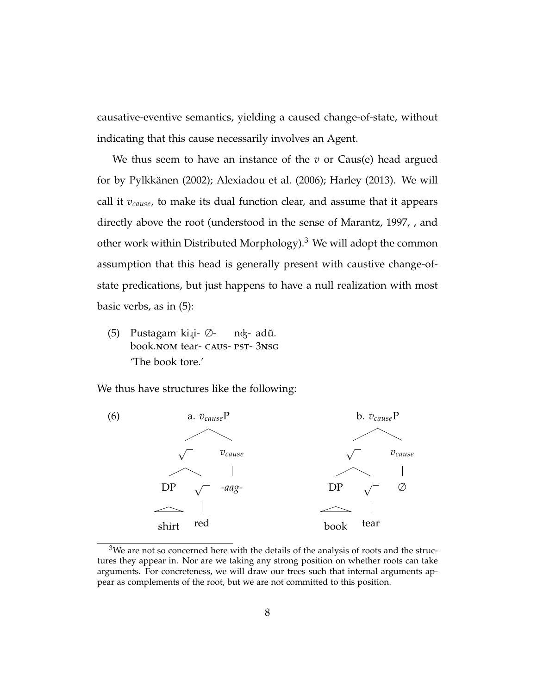causative-eventive semantics, yielding a caused change-of-state, without indicating that this cause necessarily involves an Agent.

We thus seem to have an instance of the *v* or Caus(e) head argued for by Pylkkänen (2002); Alexiadou et al. (2006); Harley (2013). We will call it *vcause*, to make its dual function clear, and assume that it appears directly above the root (understood in the sense of Marantz, 1997, , and other work within Distributed Morphology).<sup>3</sup> We will adopt the common assumption that this head is generally present with caustive change-ofstate predications, but just happens to have a null realization with most basic verbs, as in (5):

(5) Pustagam ki.įi- ∅book.NOM tear- CAUS- PST-3NSG nʤ- adŭ. 'The book tore.'

We thus have structures like the following:



 $3$ We are not so concerned here with the details of the analysis of roots and the structures they appear in. Nor are we taking any strong position on whether roots can take arguments. For concreteness, we will draw our trees such that internal arguments appear as complements of the root, but we are not committed to this position.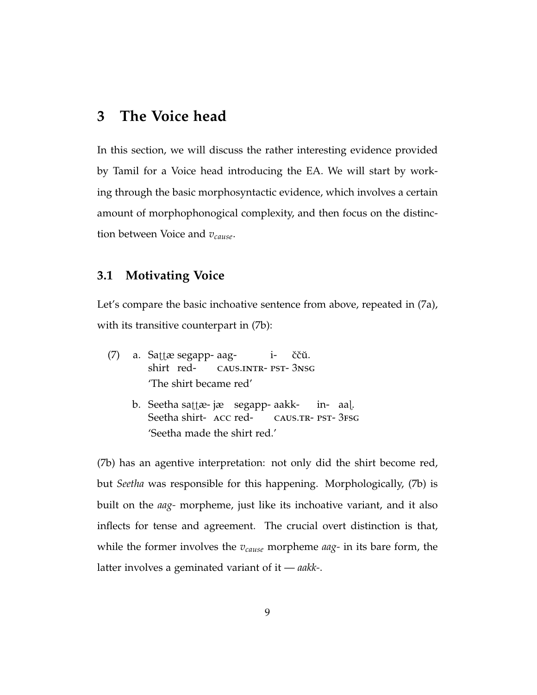## **3 The Voice head**

In this section, we will discuss the rather interesting evidence provided by Tamil for a Voice head introducing the EA. We will start by working through the basic morphosyntactic evidence, which involves a certain amount of morphophonogical complexity, and then focus on the distinction between Voice and *vcause*.

#### **3.1 Motivating Voice**

Let's compare the basic inchoative sentence from above, repeated in (7a), with its transitive counterpart in (7b):

- (7) a. Sattæ segapp- aagshirt redcaus.intr-pst-3nsg iččŭ. 'The shirt became red'
	- b. Seetha sattæ- jæ ksegapp- aakk-Seetha shirt- ACC redcaus.tr-pst-3fsg in-aaí. 'Seetha made the shirt red.'

(7b) has an agentive interpretation: not only did the shirt become red, but *Seetha* was responsible for this happening. Morphologically, (7b) is built on the *aag-* morpheme, just like its inchoative variant, and it also inflects for tense and agreement. The crucial overt distinction is that, while the former involves the *vcause* morpheme *aag-* in its bare form, the latter involves a geminated variant of it — *aakk-*.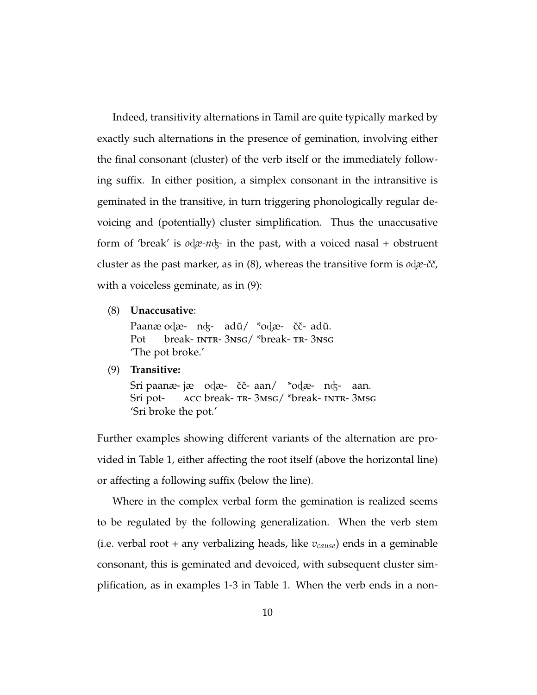Indeed, transitivity alternations in Tamil are quite typically marked by exactly such alternations in the presence of gemination, involving either the final consonant (cluster) of the verb itself or the immediately following suffix. In either position, a simplex consonant in the intransitive is geminated in the transitive, in turn triggering phonologically regular devoicing and (potentially) cluster simplification. Thus the unaccusative form of 'break' is  $\alpha$ <sub> $\alpha$ </sub> $\alpha$ <sub> $\beta$ </sub> in the past, with a voiced nasal + obstruent cluster as the past marker, as in  $(8)$ , whereas the transitive form is  $o$ d $\alpha$ -čč, with a voiceless geminate, as in (9):

(8) **Unaccusative**:

Paanæ odæ- nʤ- adŭ/ \*odæ- čč- adŭ. Pot break- <mark>INTR- 3</mark>NSG/ \*break- TR- 3NSG 'The pot broke.'

(9) **Transitive:**

Sri paanæ- jæ odæ- čč- aan/ \*odæ- nʤ- aan. Sri potacc break-tr-3msg/ \*break-intr-3msg 'Sri broke the pot.'

Further examples showing different variants of the alternation are provided in Table 1, either affecting the root itself (above the horizontal line) or affecting a following suffix (below the line).

Where in the complex verbal form the gemination is realized seems to be regulated by the following generalization. When the verb stem (i.e. verbal root + any verbalizing heads, like *vcause*) ends in a geminable consonant, this is geminated and devoiced, with subsequent cluster simplification, as in examples 1-3 in Table 1. When the verb ends in a non-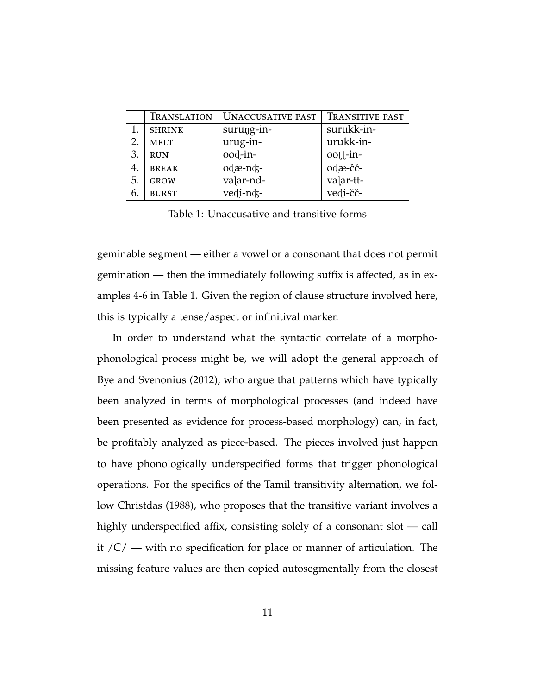|    | TRANSLATION   | <b>UNACCUSATIVE PAST</b> | <b>TRANSITIVE PAST</b> |
|----|---------------|--------------------------|------------------------|
|    | <b>SHRINK</b> | $suru$ g-in-             | surukk-in-             |
| 2. | <b>MELT</b>   | urug-in-                 | urukk-in-              |
| 3. | <b>RUN</b>    | ood-in-                  | oott-in-               |
| 4. | <b>BREAK</b>  | odæ-nds-                 | odæ-čč-                |
| 5. | <b>GROW</b>   | valar-nd-                | valar-tt-              |
| 6. | <b>BURST</b>  | vedi-nd-                 | vedi-čč-               |

Table 1: Unaccusative and transitive forms

geminable segment — either a vowel or a consonant that does not permit gemination — then the immediately following suffix is affected, as in examples 4-6 in Table 1. Given the region of clause structure involved here, this is typically a tense/aspect or infinitival marker.

In order to understand what the syntactic correlate of a morphophonological process might be, we will adopt the general approach of Bye and Svenonius (2012), who argue that patterns which have typically been analyzed in terms of morphological processes (and indeed have been presented as evidence for process-based morphology) can, in fact, be profitably analyzed as piece-based. The pieces involved just happen to have phonologically underspecified forms that trigger phonological operations. For the specifics of the Tamil transitivity alternation, we follow Christdas (1988), who proposes that the transitive variant involves a highly underspecified affix, consisting solely of a consonant slot — call it  $/C$  – with no specification for place or manner of articulation. The missing feature values are then copied autosegmentally from the closest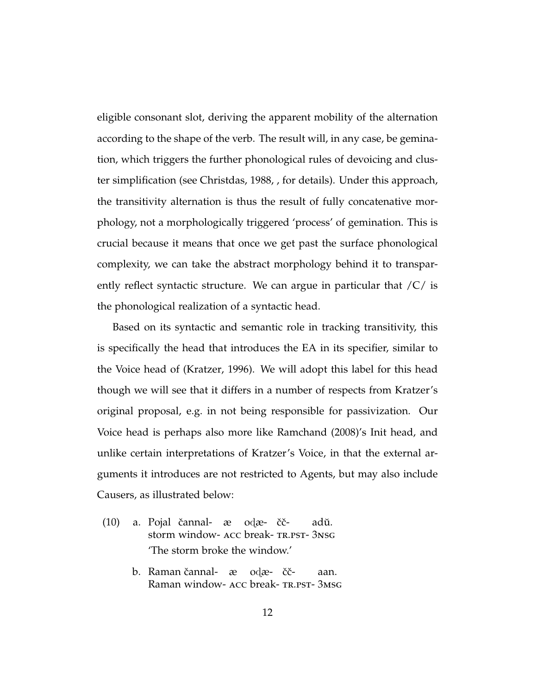eligible consonant slot, deriving the apparent mobility of the alternation according to the shape of the verb. The result will, in any case, be gemination, which triggers the further phonological rules of devoicing and cluster simplification (see Christdas, 1988, , for details). Under this approach, the transitivity alternation is thus the result of fully concatenative morphology, not a morphologically triggered 'process' of gemination. This is crucial because it means that once we get past the surface phonological complexity, we can take the abstract morphology behind it to transparently reflect syntactic structure. We can argue in particular that  $\sqrt{C}$  is the phonological realization of a syntactic head.

Based on its syntactic and semantic role in tracking transitivity, this is specifically the head that introduces the EA in its specifier, similar to the Voice head of (Kratzer, 1996). We will adopt this label for this head though we will see that it differs in a number of respects from Kratzer's original proposal, e.g. in not being responsible for passivization. Our Voice head is perhaps also more like Ramchand (2008)'s Init head, and unlike certain interpretations of Kratzer's Voice, in that the external arguments it introduces are not restricted to Agents, but may also include Causers, as illustrated below:

- (10) a. Pojal čannal- æ storm window- ACC break- TR.PST- 3NSG odæ- ččadŭ. 'The storm broke the window.'
	- b. Raman čannal- æ odæ- čč-Raman window- ACC break- TR.PST- 3MSG aan.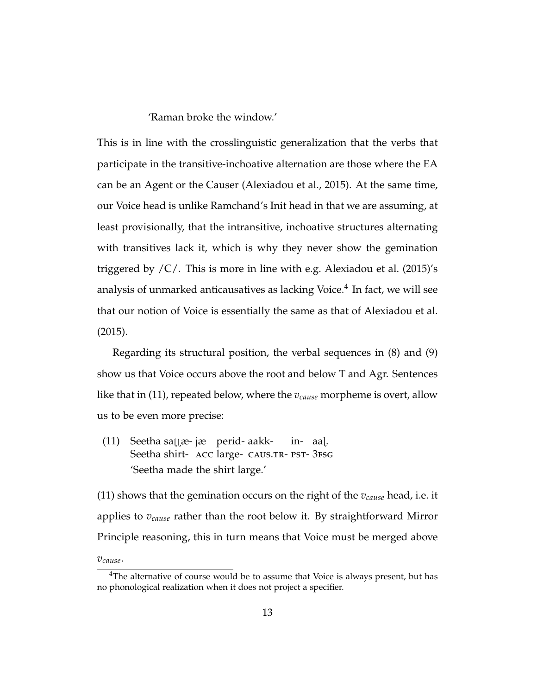'Raman broke the window.'

This is in line with the crosslinguistic generalization that the verbs that participate in the transitive-inchoative alternation are those where the EA can be an Agent or the Causer (Alexiadou et al., 2015). At the same time, our Voice head is unlike Ramchand's Init head in that we are assuming, at least provisionally, that the intransitive, inchoative structures alternating with transitives lack it, which is why they never show the gemination triggered by /C/. This is more in line with e.g. Alexiadou et al. (2015)'s analysis of unmarked anticausatives as lacking Voice. $^4$  In fact, we will see that our notion of Voice is essentially the same as that of Alexiadou et al. (2015).

Regarding its structural position, the verbal sequences in (8) and (9) show us that Voice occurs above the root and below T and Agr. Sentences like that in (11), repeated below, where the *vcause* morpheme is overt, allow us to be even more precise:

(11) Seetha sattæ- jæ perid- aakk-Seetha shirt- ACC large- CAUS.TR- PST- 3FSG in-aaí. 'Seetha made the shirt large.'

(11) shows that the gemination occurs on the right of the *vcause* head, i.e. it applies to *vcause* rather than the root below it. By straightforward Mirror Principle reasoning, this in turn means that Voice must be merged above

*vcause*.

<sup>&</sup>lt;sup>4</sup>The alternative of course would be to assume that Voice is always present, but has no phonological realization when it does not project a specifier.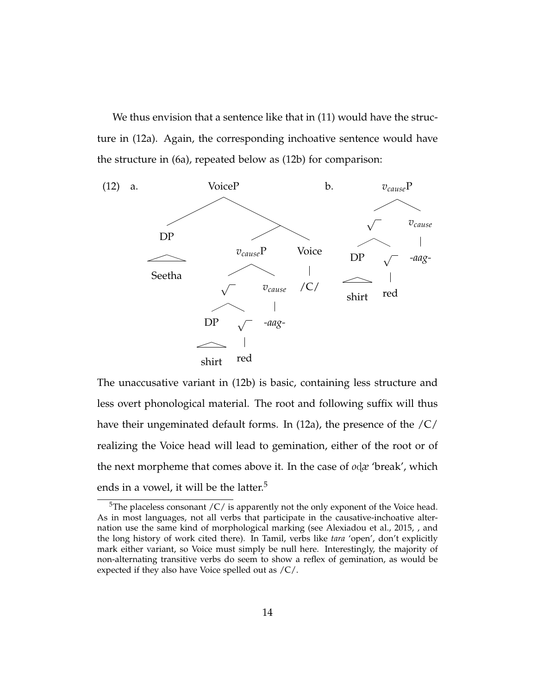We thus envision that a sentence like that in (11) would have the structure in (12a). Again, the corresponding inchoative sentence would have the structure in (6a), repeated below as (12b) for comparison:



The unaccusative variant in (12b) is basic, containing less structure and less overt phonological material. The root and following suffix will thus have their ungeminated default forms. In (12a), the presence of the /C/ realizing the Voice head will lead to gemination, either of the root or of the next morpheme that comes above it. In the case of *o*ã*æ* 'break', which ends in a vowel, it will be the latter.<sup>5</sup>

 $5$ The placeless consonant /C/ is apparently not the only exponent of the Voice head. As in most languages, not all verbs that participate in the causative-inchoative alternation use the same kind of morphological marking (see Alexiadou et al., 2015, , and the long history of work cited there). In Tamil, verbs like *tara* 'open', don't explicitly mark either variant, so Voice must simply be null here. Interestingly, the majority of non-alternating transitive verbs do seem to show a reflex of gemination, as would be expected if they also have Voice spelled out as /C/.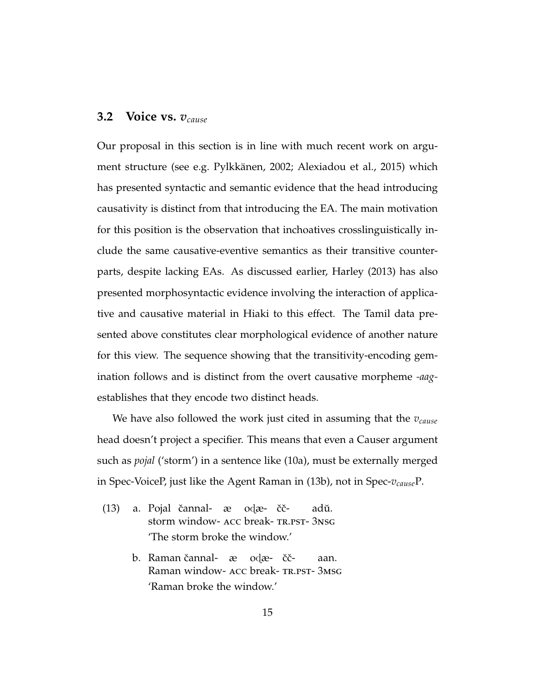#### **3.2 Voice vs.** *vcause*

Our proposal in this section is in line with much recent work on argument structure (see e.g. Pylkkänen, 2002; Alexiadou et al., 2015) which has presented syntactic and semantic evidence that the head introducing causativity is distinct from that introducing the EA. The main motivation for this position is the observation that inchoatives crosslinguistically include the same causative-eventive semantics as their transitive counterparts, despite lacking EAs. As discussed earlier, Harley (2013) has also presented morphosyntactic evidence involving the interaction of applicative and causative material in Hiaki to this effect. The Tamil data presented above constitutes clear morphological evidence of another nature for this view. The sequence showing that the transitivity-encoding gemination follows and is distinct from the overt causative morpheme *-aag*establishes that they encode two distinct heads.

We have also followed the work just cited in assuming that the *vcause* head doesn't project a specifier. This means that even a Causer argument such as *pojal* ('storm') in a sentence like (10a), must be externally merged in Spec-VoiceP, just like the Agent Raman in (13b), not in Spec-*vcause*P.

- (13) a. Pojal čannal- æ odæ- ččstorm window-acc break-tr.pst-3nsg adŭ. 'The storm broke the window.'
	- b. Raman čannal- æ odæ- čč-Raman window- ACC break- TR.PST- 3MSG aan. 'Raman broke the window.'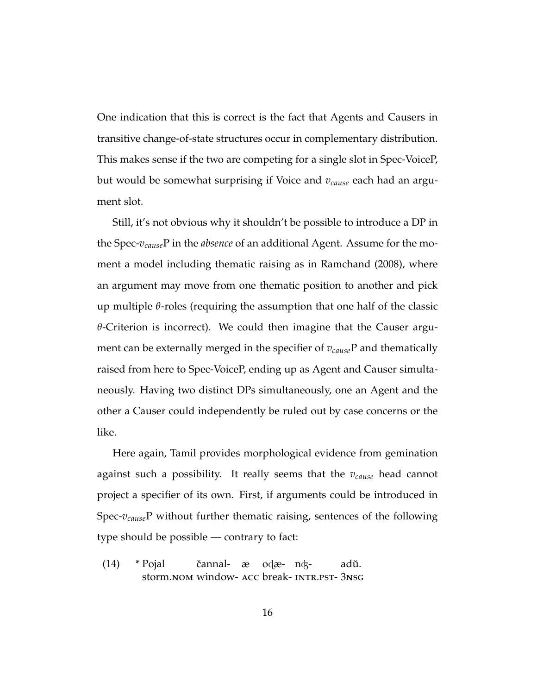One indication that this is correct is the fact that Agents and Causers in transitive change-of-state structures occur in complementary distribution. This makes sense if the two are competing for a single slot in Spec-VoiceP, but would be somewhat surprising if Voice and *vcause* each had an argument slot.

Still, it's not obvious why it shouldn't be possible to introduce a DP in the Spec-*vcause*P in the *absence* of an additional Agent. Assume for the moment a model including thematic raising as in Ramchand (2008), where an argument may move from one thematic position to another and pick up multiple *θ*-roles (requiring the assumption that one half of the classic *θ*-Criterion is incorrect). We could then imagine that the Causer argument can be externally merged in the specifier of *vcause*P and thematically raised from here to Spec-VoiceP, ending up as Agent and Causer simultaneously. Having two distinct DPs simultaneously, one an Agent and the other a Causer could independently be ruled out by case concerns or the like.

Here again, Tamil provides morphological evidence from gemination against such a possibility. It really seems that the *vcause* head cannot project a specifier of its own. First, if arguments could be introduced in Spec-*vcause*P without further thematic raising, sentences of the following type should be possible — contrary to fact:

 $(14)$  \* Pojal storm.nom window-acc break-intr.pst-3nsg čannal- æ odæ- nʤadŭ.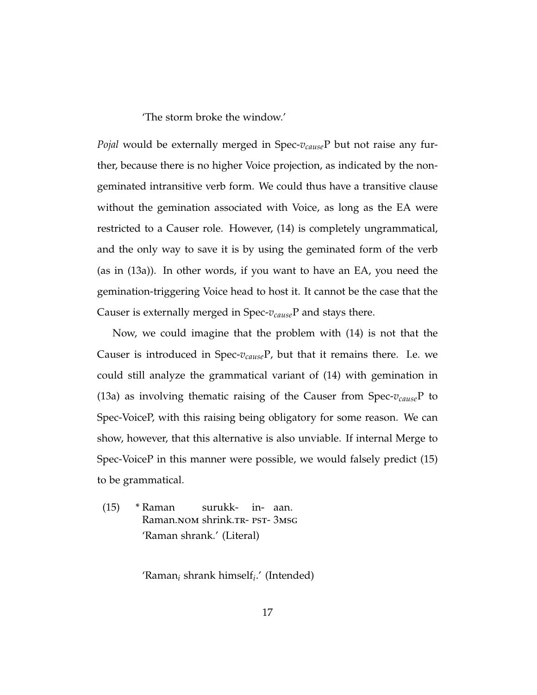'The storm broke the window.'

*Pojal* would be externally merged in Spec-*vcause*P but not raise any further, because there is no higher Voice projection, as indicated by the nongeminated intransitive verb form. We could thus have a transitive clause without the gemination associated with Voice, as long as the EA were restricted to a Causer role. However, (14) is completely ungrammatical, and the only way to save it is by using the geminated form of the verb (as in (13a)). In other words, if you want to have an EA, you need the gemination-triggering Voice head to host it. It cannot be the case that the Causer is externally merged in Spec-*vcause*P and stays there.

Now, we could imagine that the problem with (14) is not that the Causer is introduced in Spec-*vcause*P, but that it remains there. I.e. we could still analyze the grammatical variant of (14) with gemination in (13a) as involving thematic raising of the Causer from Spec-*vcause*P to Spec-VoiceP, with this raising being obligatory for some reason. We can show, however, that this alternative is also unviable. If internal Merge to Spec-VoiceP in this manner were possible, we would falsely predict (15) to be grammatical.

 $(15)$  \* Raman Raman.<mark>no</mark>m shrink.tr- PST- 3msg surukk-in-aan. 'Raman shrank.' (Literal)

'Raman*<sup>i</sup>* shrank himself*<sup>i</sup>* .' (Intended)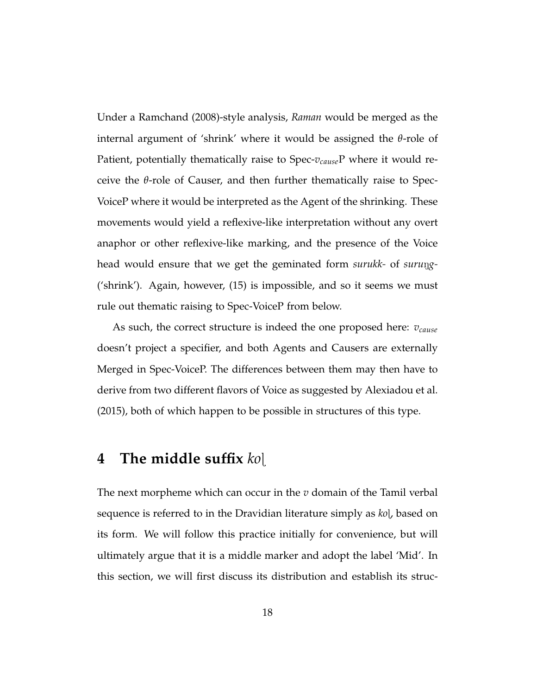Under a Ramchand (2008)-style analysis, *Raman* would be merged as the internal argument of 'shrink' where it would be assigned the *θ*-role of Patient, potentially thematically raise to Spec-*vcause*P where it would receive the *θ*-role of Causer, and then further thematically raise to Spec-VoiceP where it would be interpreted as the Agent of the shrinking. These movements would yield a reflexive-like interpretation without any overt anaphor or other reflexive-like marking, and the presence of the Voice head would ensure that we get the geminated form *surukk*- of *surung*-('shrink'). Again, however, (15) is impossible, and so it seems we must rule out thematic raising to Spec-VoiceP from below.

As such, the correct structure is indeed the one proposed here: *vcause* doesn't project a specifier, and both Agents and Causers are externally Merged in Spec-VoiceP. The differences between them may then have to derive from two different flavors of Voice as suggested by Alexiadou et al. (2015), both of which happen to be possible in structures of this type.

## **4 The middle suffix** *ko*í

The next morpheme which can occur in the *v* domain of the Tamil verbal sequence is referred to in the Dravidian literature simply as *ko*í, based on its form. We will follow this practice initially for convenience, but will ultimately argue that it is a middle marker and adopt the label 'Mid'. In this section, we will first discuss its distribution and establish its struc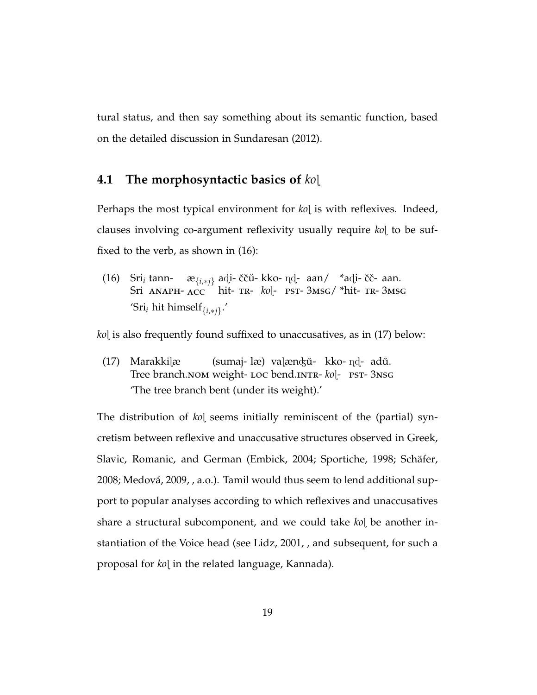tural status, and then say something about its semantic function, based on the detailed discussion in Sundaresan (2012).

#### **4.1 The morphosyntactic basics of** *ko*í

Perhaps the most typical environment for *ko*l is with reflexives. Indeed, clauses involving co-argument reflexivity usually require *ko* to be suffixed to the verb, as shown in (16):

(16) Sri*<sup>i</sup>* tann-Sri ANAPH- ACC hit- TR- kol- PST-3MSG/ \*hit- TR-3MSG æ<sub>{*i,∗j*} ad**i- ččŭ- kko-** nd-) aan/ →\*adi- čč- aan.</sub> 'Sri*<sup>i</sup>* hit himself{*i*,∗*j*} .'

*ko*í is also frequently found suffixed to unaccusatives, as in (17) below:

(17) Marakkiíæ Tree branch.NOM weight- LOC bend.INTR- kol- PST- 3NSG (sumaj- læ) vaļæn¢ŭ- kko- nd- adŭ. 'The tree branch bent (under its weight).'

The distribution of *ko*í seems initially reminiscent of the (partial) syncretism between reflexive and unaccusative structures observed in Greek, Slavic, Romanic, and German (Embick, 2004; Sportiche, 1998; Schäfer, 2008; Medová, 2009, , a.o.). Tamil would thus seem to lend additional support to popular analyses according to which reflexives and unaccusatives share a structural subcomponent, and we could take *ko*[ be another instantiation of the Voice head (see Lidz, 2001, , and subsequent, for such a proposal for *ko*[ in the related language, Kannada).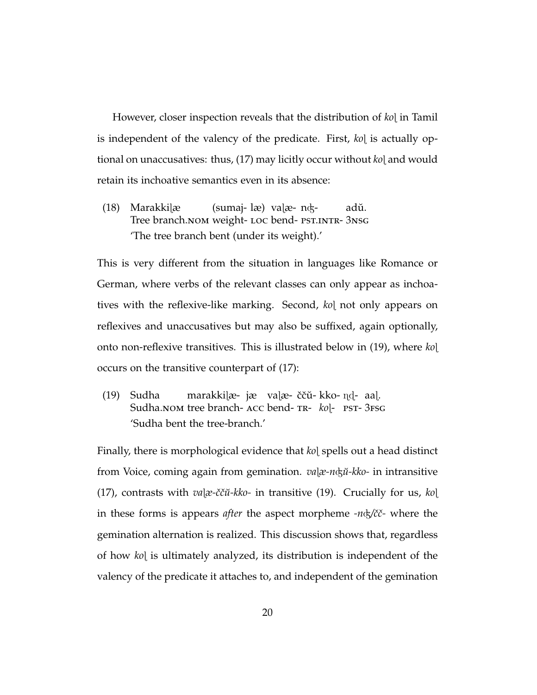However, closer inspection reveals that the distribution of *ko*í in Tamil is independent of the valency of the predicate. First, *ko*l is actually optional on unaccusatives: thus, (17) may licitly occur without *ko*í and would retain its inchoative semantics even in its absence:

(18) Marakkiíæ Tree branch.NOM weight- LOC bend- PST.INTR- 3NSG (sumaj-læ) vaíæ-nÃadŭ. 'The tree branch bent (under its weight).'

This is very different from the situation in languages like Romance or German, where verbs of the relevant classes can only appear as inchoatives with the reflexive-like marking. Second, *ko*[ not only appears on reflexives and unaccusatives but may also be suffixed, again optionally, onto non-reflexive transitives. This is illustrated below in (19), where *ko*í occurs on the transitive counterpart of (17):

(19) Sudha Sudha.nom tree branch- Acc bend- TR- kol- PST- 3FSG marakkilæ- jæ) valæ- ččŭ- kko- n̥d-) aal. 'Sudha bent the tree-branch.'

Finally, there is morphological evidence that *ko*l spells out a head distinct from Voice, coming again from gemination. *va*[ $x$ -*n* $\dagger$ *xko*- in intransitive (17), contrasts with  $va[x-\check{c}\check{c}\check{u}-\check{k}k\check{o}]$ - in transitive (19). Crucially for us,  $k\check{o}]$ in these forms is appears *after* the aspect morpheme *-n*&/čč- where the gemination alternation is realized. This discussion shows that, regardless of how *ko*í is ultimately analyzed, its distribution is independent of the valency of the predicate it attaches to, and independent of the gemination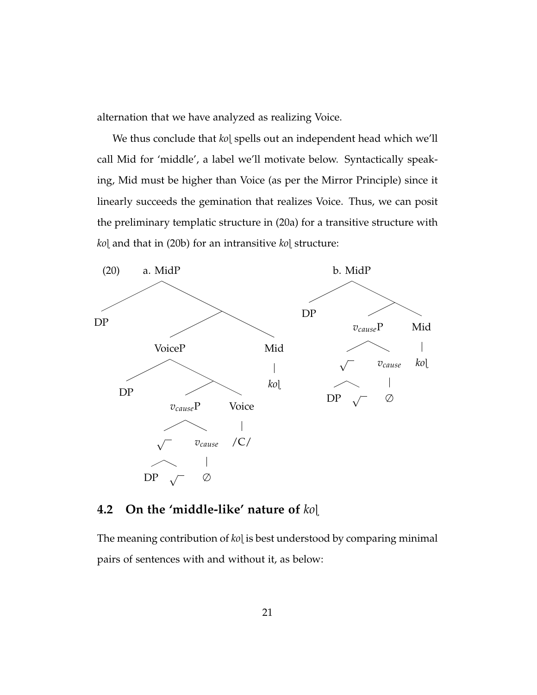alternation that we have analyzed as realizing Voice.

We thus conclude that *ko*í spells out an independent head which we'll call Mid for 'middle', a label we'll motivate below. Syntactically speaking, Mid must be higher than Voice (as per the Mirror Principle) since it linearly succeeds the gemination that realizes Voice. Thus, we can posit the preliminary templatic structure in (20a) for a transitive structure with *ko*í and that in (20b) for an intransitive *ko*í structure:



#### **4.2 On the 'middle-like' nature of** *ko*í

The meaning contribution of *ko*[ is best understood by comparing minimal pairs of sentences with and without it, as below: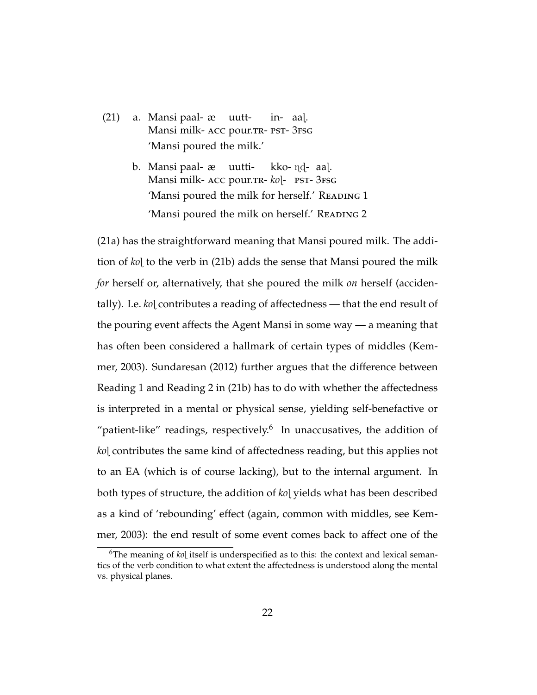- (21) a. Mansi paal-æ Mansi milk- ACC pour.TR- PST- 3FSG uuttin-aaí. 'Mansi poured the milk.'
	- b. Mansi paal-æ uutti-Mansi milk- ACC pour.TR- kol- PST- 3FSG kko- nd-) aal. 'Mansi poured the milk for herself.' READING 1 'Mansi poured the milk on herself.' READING 2

(21a) has the straightforward meaning that Mansi poured milk. The addition of *ko*í to the verb in (21b) adds the sense that Mansi poured the milk *for* herself or, alternatively, that she poured the milk *on* herself (accidentally). I.e. *ko*í contributes a reading of affectedness — that the end result of the pouring event affects the Agent Mansi in some way — a meaning that has often been considered a hallmark of certain types of middles (Kemmer, 2003). Sundaresan (2012) further argues that the difference between Reading 1 and Reading 2 in (21b) has to do with whether the affectedness is interpreted in a mental or physical sense, yielding self-benefactive or "patient-like" readings, respectively. $6$  In unaccusatives, the addition of *ko*í contributes the same kind of affectedness reading, but this applies not to an EA (which is of course lacking), but to the internal argument. In both types of structure, the addition of *ko*í yields what has been described as a kind of 'rebounding' effect (again, common with middles, see Kemmer, 2003): the end result of some event comes back to affect one of the

<sup>&</sup>lt;sup>6</sup>The meaning of *ko*<sub>l</sub> itself is underspecified as to this: the context and lexical semantics of the verb condition to what extent the affectedness is understood along the mental vs. physical planes.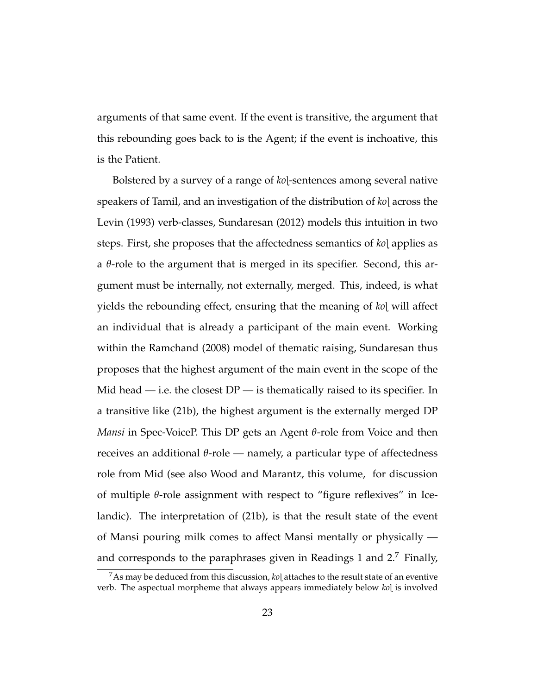arguments of that same event. If the event is transitive, the argument that this rebounding goes back to is the Agent; if the event is inchoative, this is the Patient.

Bolstered by a survey of a range of *ko*í-sentences among several native speakers of Tamil, and an investigation of the distribution of *ko*l across the Levin (1993) verb-classes, Sundaresan (2012) models this intuition in two steps. First, she proposes that the affectedness semantics of *ko*í applies as a *θ*-role to the argument that is merged in its specifier. Second, this argument must be internally, not externally, merged. This, indeed, is what yields the rebounding effect, ensuring that the meaning of *ko*í will affect an individual that is already a participant of the main event. Working within the Ramchand (2008) model of thematic raising, Sundaresan thus proposes that the highest argument of the main event in the scope of the Mid head  $-$  i.e. the closest  $DP$   $-$  is thematically raised to its specifier. In a transitive like (21b), the highest argument is the externally merged DP *Mansi* in Spec-VoiceP. This DP gets an Agent *θ*-role from Voice and then receives an additional *θ*-role — namely, a particular type of affectedness role from Mid (see also Wood and Marantz, this volume, for discussion of multiple *θ*-role assignment with respect to "figure reflexives" in Icelandic). The interpretation of (21b), is that the result state of the event of Mansi pouring milk comes to affect Mansi mentally or physically and corresponds to the paraphrases given in Readings 1 and 2.<sup>7</sup> Finally,

<sup>&</sup>lt;sup>7</sup>As may be deduced from this discussion, *ko*] attaches to the result state of an eventive verb. The aspectual morpheme that always appears immediately below *ko*í is involved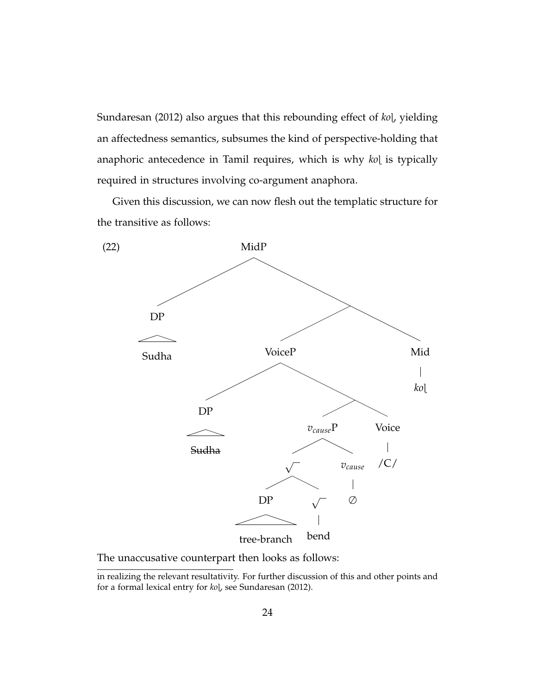Sundaresan (2012) also argues that this rebounding effect of *ko*l, yielding an affectedness semantics, subsumes the kind of perspective-holding that anaphoric antecedence in Tamil requires, which is why *ko*[ is typically required in structures involving co-argument anaphora.

Given this discussion, we can now flesh out the templatic structure for the transitive as follows:



The unaccusative counterpart then looks as follows:

in realizing the relevant resultativity. For further discussion of this and other points and for a formal lexical entry for  $k_0$ , see Sundaresan (2012).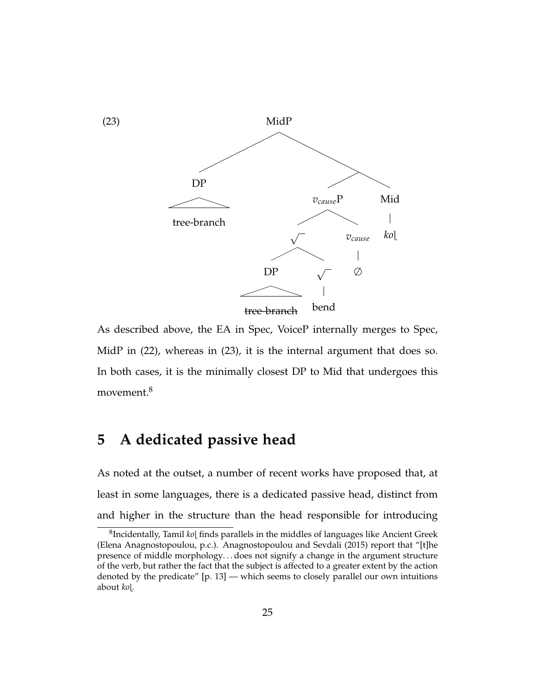

As described above, the EA in Spec, VoiceP internally merges to Spec, MidP in (22), whereas in (23), it is the internal argument that does so. In both cases, it is the minimally closest DP to Mid that undergoes this movement.<sup>8</sup>

## **5 A dedicated passive head**

As noted at the outset, a number of recent works have proposed that, at least in some languages, there is a dedicated passive head, distinct from and higher in the structure than the head responsible for introducing

 $^8$ Incidentally, Tamil *ko*l finds parallels in the middles of languages like Ancient Greek (Elena Anagnostopoulou, p.c.). Anagnostopoulou and Sevdali (2015) report that "[t]he presence of middle morphology. . . does not signify a change in the argument structure of the verb, but rather the fact that the subject is affected to a greater extent by the action denoted by the predicate" [p. 13] — which seems to closely parallel our own intuitions about *ko*í.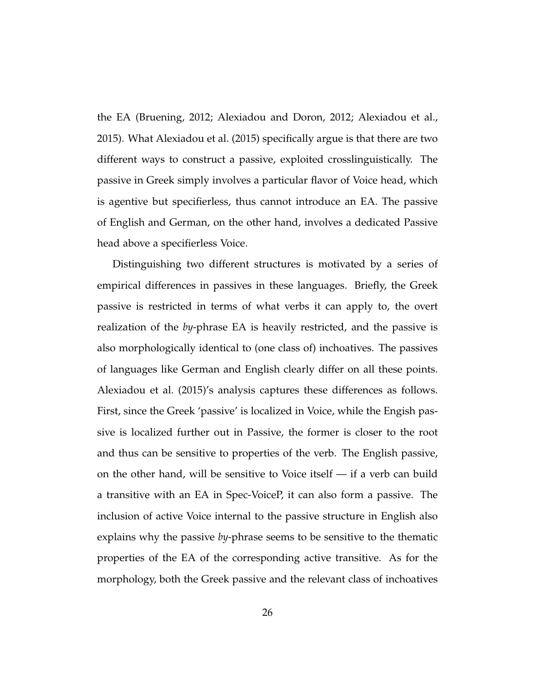the EA (Bruening, 2012; Alexiadou and Doron, 2012; Alexiadou et al., 2015). What Alexiadou et al. (2015) specifically argue is that there are two different ways to construct a passive, exploited crosslinguistically. The passive in Greek simply involves a particular flavor of Voice head, which is agentive but specifierless, thus cannot introduce an EA. The passive of English and German, on the other hand, involves a dedicated Passive head above a specifierless Voice.

Distinguishing two different structures is motivated by a series of empirical differences in passives in these languages. Briefly, the Greek passive is restricted in terms of what verbs it can apply to, the overt realization of the *by*-phrase EA is heavily restricted, and the passive is also morphologically identical to (one class of) inchoatives. The passives of languages like German and English clearly differ on all these points. Alexiadou et al. (2015)'s analysis captures these differences as follows. First, since the Greek 'passive' is localized in Voice, while the Engish passive is localized further out in Passive, the former is closer to the root and thus can be sensitive to properties of the verb. The English passive, on the other hand, will be sensitive to Voice itself — if a verb can build a transitive with an EA in Spec-VoiceP, it can also form a passive. The inclusion of active Voice internal to the passive structure in English also explains why the passive *by*-phrase seems to be sensitive to the thematic properties of the EA of the corresponding active transitive. As for the morphology, both the Greek passive and the relevant class of inchoatives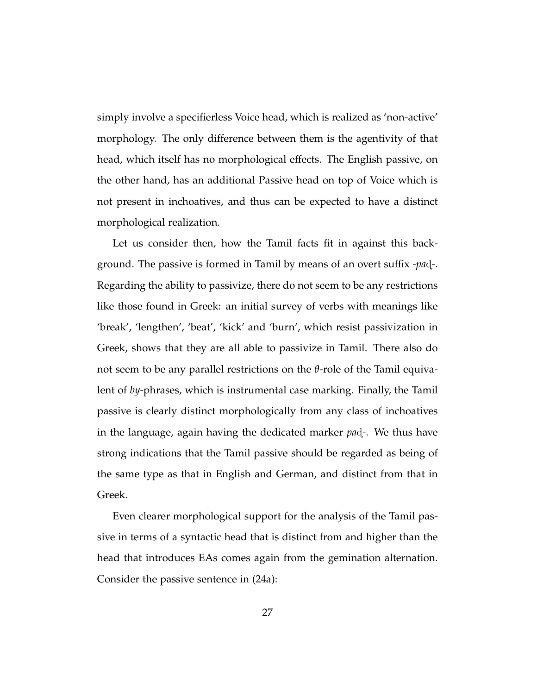simply involve a specifierless Voice head, which is realized as 'non-active' morphology. The only difference between them is the agentivity of that head, which itself has no morphological effects. The English passive, on the other hand, has an additional Passive head on top of Voice which is not present in inchoatives, and thus can be expected to have a distinct morphological realization.

Let us consider then, how the Tamil facts fit in against this background. The passive is formed in Tamil by means of an overt suffix *-pa*d<sub>7</sub>. Regarding the ability to passivize, there do not seem to be any restrictions like those found in Greek: an initial survey of verbs with meanings like 'break', 'lengthen', 'beat', 'kick' and 'burn', which resist passivization in Greek, shows that they are all able to passivize in Tamil. There also do not seem to be any parallel restrictions on the *θ*-role of the Tamil equivalent of *by*-phrases, which is instrumental case marking. Finally, the Tamil passive is clearly distinct morphologically from any class of inchoatives in the language, again having the dedicated marker *pa*d<sub>-</sub>. We thus have strong indications that the Tamil passive should be regarded as being of the same type as that in English and German, and distinct from that in Greek.

Even clearer morphological support for the analysis of the Tamil passive in terms of a syntactic head that is distinct from and higher than the head that introduces EAs comes again from the gemination alternation. Consider the passive sentence in (24a):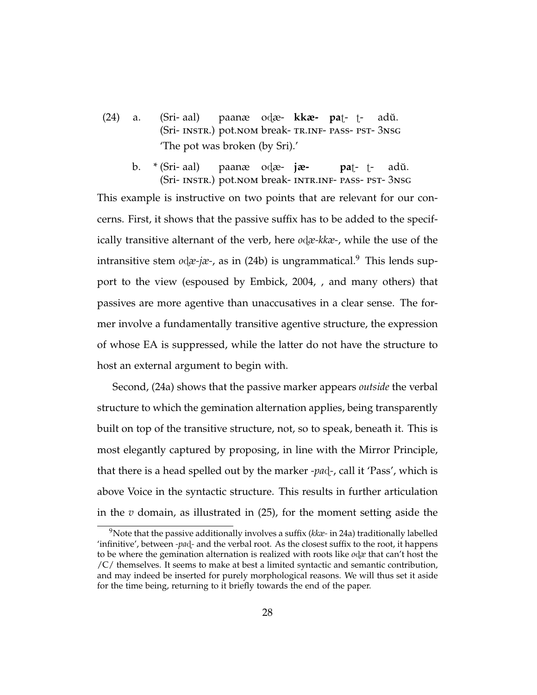- (24) a. (Sri- aal) (Sri- INSTR.) pot.NOM break-TR.INF- PASS- PST-3NSG paanæ odæ- **kkæ- pa**t- tadŭ. 'The pot was broken (by Sri).'
	- b. \* (Sri- aal) (Sri- INSTR.) pot.nom break- INTR.INF- PASS- PST-3NSG paanæ odæ**- jæpa**t- tadŭ.

This example is instructive on two points that are relevant for our concerns. First, it shows that the passive suffix has to be added to the specifically transitive alternant of the verb, here *od*<sub>*æ*-kkæ-, while the use of the</sub> intransitive stem *odæ-jæ-*, as in (24b) is ungrammatical.<sup>9</sup> This lends support to the view (espoused by Embick, 2004, , and many others) that passives are more agentive than unaccusatives in a clear sense. The former involve a fundamentally transitive agentive structure, the expression of whose EA is suppressed, while the latter do not have the structure to host an external argument to begin with.

Second, (24a) shows that the passive marker appears *outside* the verbal structure to which the gemination alternation applies, being transparently built on top of the transitive structure, not, so to speak, beneath it. This is most elegantly captured by proposing, in line with the Mirror Principle, that there is a head spelled out by the marker *-pa*ã*-*, call it 'Pass', which is above Voice in the syntactic structure. This results in further articulation in the *v* domain, as illustrated in (25), for the moment setting aside the

<sup>9</sup>Note that the passive additionally involves a suffix (*kkæ-* in 24a) traditionally labelled 'infinitive', between *-pa*ã*-* and the verbal root. As the closest suffix to the root, it happens to be where the gemination alternation is realized with roots like  $o$ d $x$  that can't host the /C/ themselves. It seems to make at best a limited syntactic and semantic contribution, and may indeed be inserted for purely morphological reasons. We will thus set it aside for the time being, returning to it briefly towards the end of the paper.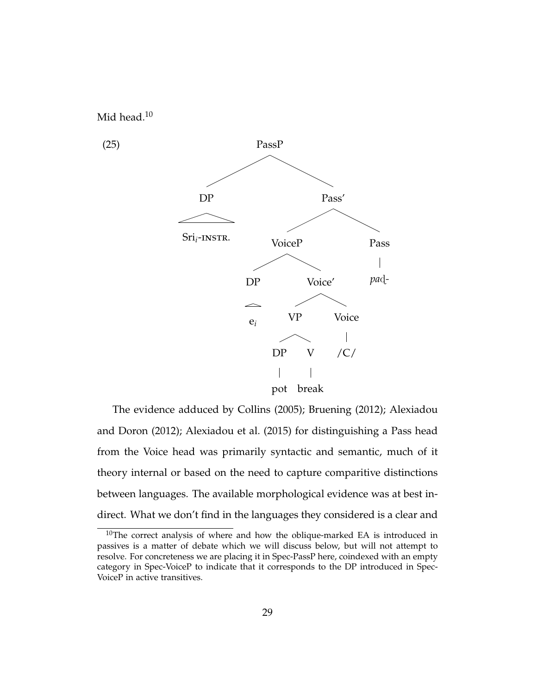

The evidence adduced by Collins (2005); Bruening (2012); Alexiadou and Doron (2012); Alexiadou et al. (2015) for distinguishing a Pass head from the Voice head was primarily syntactic and semantic, much of it theory internal or based on the need to capture comparitive distinctions between languages. The available morphological evidence was at best indirect. What we don't find in the languages they considered is a clear and

 $10$ The correct analysis of where and how the oblique-marked EA is introduced in passives is a matter of debate which we will discuss below, but will not attempt to resolve. For concreteness we are placing it in Spec-PassP here, coindexed with an empty category in Spec-VoiceP to indicate that it corresponds to the DP introduced in Spec-VoiceP in active transitives.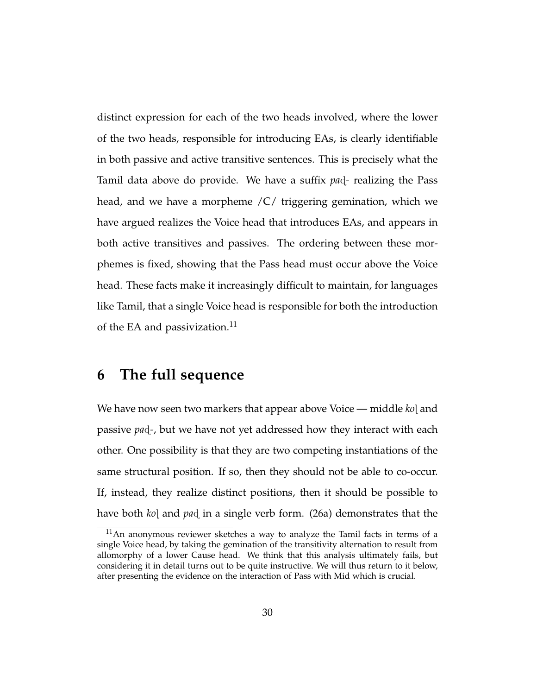distinct expression for each of the two heads involved, where the lower of the two heads, responsible for introducing EAs, is clearly identifiable in both passive and active transitive sentences. This is precisely what the Tamil data above do provide. We have a suffix *pa*ã*-* realizing the Pass head, and we have a morpheme /C/ triggering gemination, which we have argued realizes the Voice head that introduces EAs, and appears in both active transitives and passives. The ordering between these morphemes is fixed, showing that the Pass head must occur above the Voice head. These facts make it increasingly difficult to maintain, for languages like Tamil, that a single Voice head is responsible for both the introduction of the EA and passivization. $^{11}$ 

## **6 The full sequence**

We have now seen two markers that appear above Voice — middle *ko*l and passive *pa*ã*-*, but we have not yet addressed how they interact with each other. One possibility is that they are two competing instantiations of the same structural position. If so, then they should not be able to co-occur. If, instead, they realize distinct positions, then it should be possible to have both *ko*[ and *pa*d in a single verb form. (26a) demonstrates that the

<sup>11</sup>An anonymous reviewer sketches a way to analyze the Tamil facts in terms of a single Voice head, by taking the gemination of the transitivity alternation to result from allomorphy of a lower Cause head. We think that this analysis ultimately fails, but considering it in detail turns out to be quite instructive. We will thus return to it below, after presenting the evidence on the interaction of Pass with Mid which is crucial.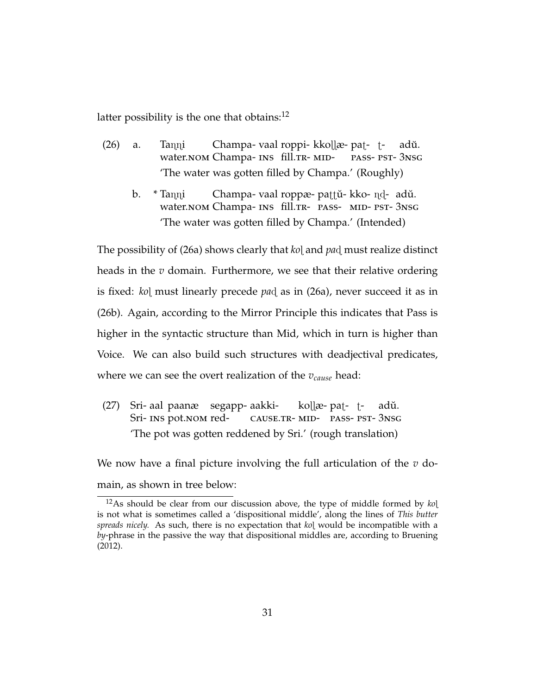latter possibility is the one that obtains: $^{12}$ 

- $(26)$  a. Tanni water.NOM Champa- INS fill.TR- MID-Champa- vaal roppi- kkollæ- pat- tpass-pst-3nsg adŭ. 'The water was gotten filled by Champa.' (Roughly)
	- b.  $*$  Tanni water.NOM Champa- INS fill.TR- PASS- MID- PST-3NSG Champa- vaal roppæ- pattŭ- kko- nd-) adŭ. 'The water was gotten filled by Champa.' (Intended)

The possibility of (26a) shows clearly that *ko*l and *pa*d must realize distinct heads in the *v* domain. Furthermore, we see that their relative ordering is fixed: *ko*] must linearly precede *pa* $d$  as in (26a), never succeed it as in (26b). Again, according to the Mirror Principle this indicates that Pass is higher in the syntactic structure than Mid, which in turn is higher than Voice. We can also build such structures with deadjectival predicates, where we can see the overt realization of the *vcause* head:

 $(27)$ Sri- INS pot.NOM redaal paanæ segapp-aakkicause.tr-mid-pass-pst-3nsg kollæ- pat-) tadŭ. 'The pot was gotten reddened by Sri.' (rough translation)

We now have a final picture involving the full articulation of the *v* domain, as shown in tree below:

<sup>12</sup>As should be clear from our discussion above, the type of middle formed by *ko*í is not what is sometimes called a 'dispositional middle', along the lines of *This butter spreads nicely.* As such, there is no expectation that *ko*í would be incompatible with a *by*-phrase in the passive the way that dispositional middles are, according to Bruening (2012).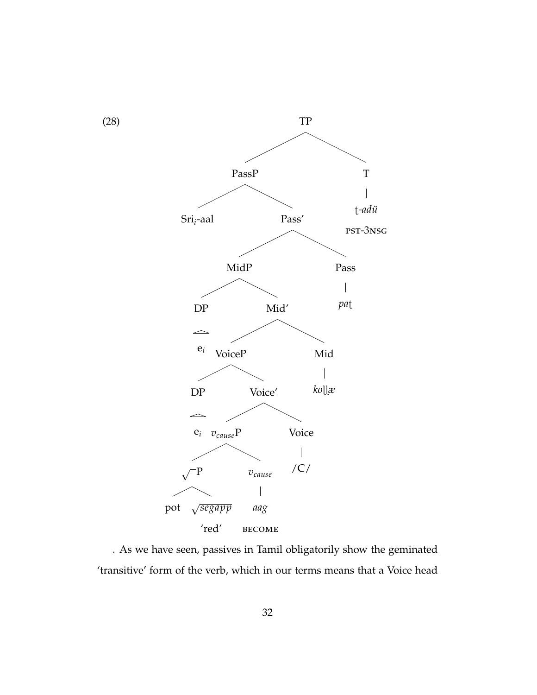

. As we have seen, passives in Tamil obligatorily show the geminated 'transitive' form of the verb, which in our terms means that a Voice head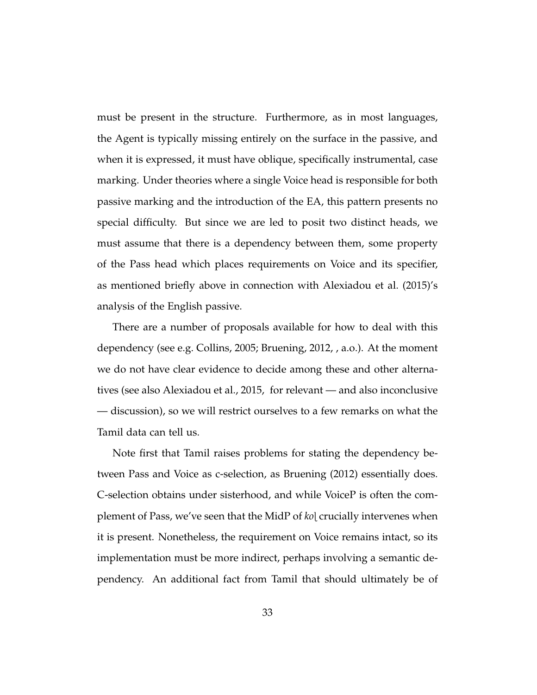must be present in the structure. Furthermore, as in most languages, the Agent is typically missing entirely on the surface in the passive, and when it is expressed, it must have oblique, specifically instrumental, case marking. Under theories where a single Voice head is responsible for both passive marking and the introduction of the EA, this pattern presents no special difficulty. But since we are led to posit two distinct heads, we must assume that there is a dependency between them, some property of the Pass head which places requirements on Voice and its specifier, as mentioned briefly above in connection with Alexiadou et al. (2015)'s analysis of the English passive.

There are a number of proposals available for how to deal with this dependency (see e.g. Collins, 2005; Bruening, 2012, , a.o.). At the moment we do not have clear evidence to decide among these and other alternatives (see also Alexiadou et al., 2015, for relevant — and also inconclusive — discussion), so we will restrict ourselves to a few remarks on what the Tamil data can tell us.

Note first that Tamil raises problems for stating the dependency between Pass and Voice as c-selection, as Bruening (2012) essentially does. C-selection obtains under sisterhood, and while VoiceP is often the complement of Pass, we've seen that the MidP of *ko*í crucially intervenes when it is present. Nonetheless, the requirement on Voice remains intact, so its implementation must be more indirect, perhaps involving a semantic dependency. An additional fact from Tamil that should ultimately be of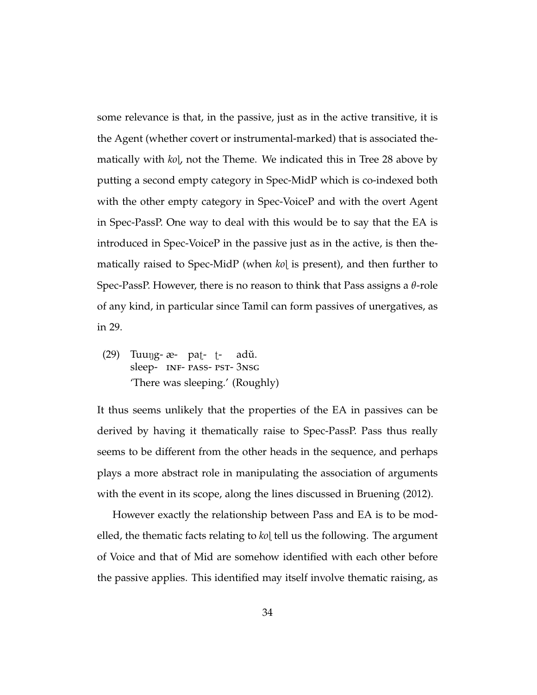some relevance is that, in the passive, just as in the active transitive, it is the Agent (whether covert or instrumental-marked) that is associated thematically with *ko*í, not the Theme. We indicated this in Tree 28 above by putting a second empty category in Spec-MidP which is co-indexed both with the other empty category in Spec-VoiceP and with the overt Agent in Spec-PassP. One way to deal with this would be to say that the EA is introduced in Spec-VoiceP in the passive just as in the active, is then thematically raised to Spec-MidP (when *ko*] is present), and then further to Spec-PassP. However, there is no reason to think that Pass assigns a *θ*-role of any kind, in particular since Tamil can form passives of unergatives, as in 29.

(29) Tuung- æ- pat- tsleep- INF- PASS- PST- 3NSG adŭ. 'There was sleeping.' (Roughly)

It thus seems unlikely that the properties of the EA in passives can be derived by having it thematically raise to Spec-PassP. Pass thus really seems to be different from the other heads in the sequence, and perhaps plays a more abstract role in manipulating the association of arguments with the event in its scope, along the lines discussed in Bruening (2012).

However exactly the relationship between Pass and EA is to be modelled, the thematic facts relating to *ko*l tell us the following. The argument of Voice and that of Mid are somehow identified with each other before the passive applies. This identified may itself involve thematic raising, as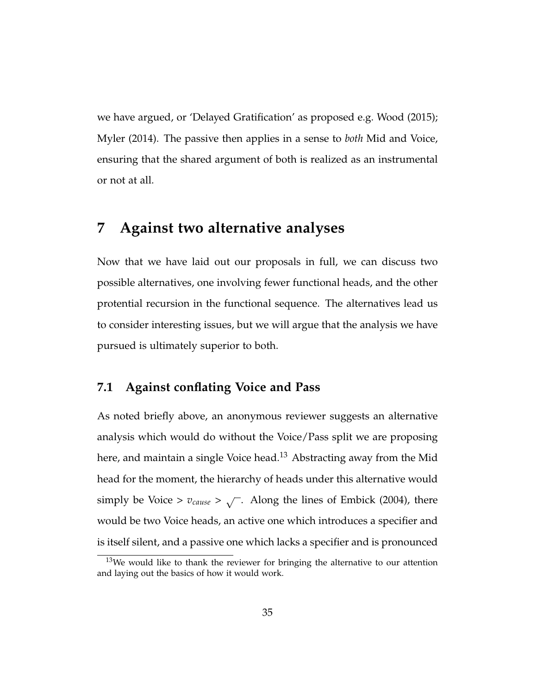we have argued, or 'Delayed Gratification' as proposed e.g. Wood (2015); Myler (2014). The passive then applies in a sense to *both* Mid and Voice, ensuring that the shared argument of both is realized as an instrumental or not at all.

## **7 Against two alternative analyses**

Now that we have laid out our proposals in full, we can discuss two possible alternatives, one involving fewer functional heads, and the other protential recursion in the functional sequence. The alternatives lead us to consider interesting issues, but we will argue that the analysis we have pursued is ultimately superior to both.

#### **7.1 Against conflating Voice and Pass**

As noted briefly above, an anonymous reviewer suggests an alternative analysis which would do without the Voice/Pass split we are proposing here, and maintain a single Voice head.<sup>13</sup> Abstracting away from the Mid head for the moment, the hierarchy of heads under this alternative would simply be Voice >  $v_{cause} > \sqrt{\ }$ . Along the lines of Embick (2004), there would be two Voice heads, an active one which introduces a specifier and is itself silent, and a passive one which lacks a specifier and is pronounced

 $13$ We would like to thank the reviewer for bringing the alternative to our attention and laying out the basics of how it would work.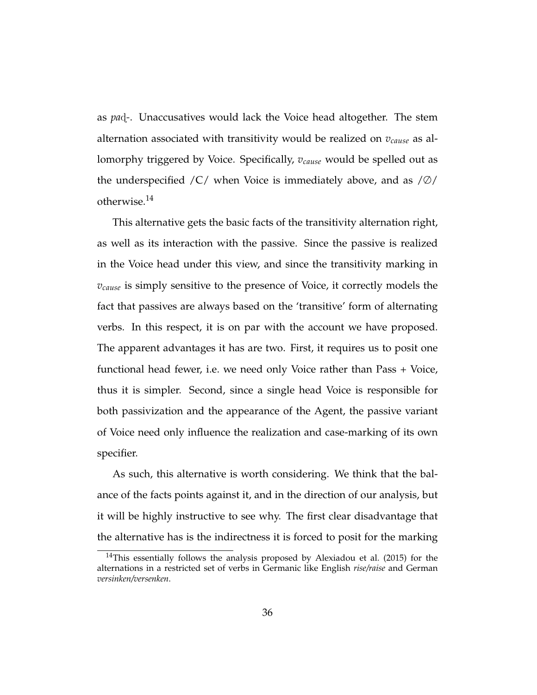as *pa*ã*-*. Unaccusatives would lack the Voice head altogether. The stem alternation associated with transitivity would be realized on *vcause* as allomorphy triggered by Voice. Specifically, *vcause* would be spelled out as the underspecified  $\overline{C}$  when Voice is immediately above, and as  $\overline{Q}$ otherwise.<sup>14</sup>

This alternative gets the basic facts of the transitivity alternation right, as well as its interaction with the passive. Since the passive is realized in the Voice head under this view, and since the transitivity marking in *vcause* is simply sensitive to the presence of Voice, it correctly models the fact that passives are always based on the 'transitive' form of alternating verbs. In this respect, it is on par with the account we have proposed. The apparent advantages it has are two. First, it requires us to posit one functional head fewer, i.e. we need only Voice rather than Pass + Voice, thus it is simpler. Second, since a single head Voice is responsible for both passivization and the appearance of the Agent, the passive variant of Voice need only influence the realization and case-marking of its own specifier.

As such, this alternative is worth considering. We think that the balance of the facts points against it, and in the direction of our analysis, but it will be highly instructive to see why. The first clear disadvantage that the alternative has is the indirectness it is forced to posit for the marking

<sup>&</sup>lt;sup>14</sup>This essentially follows the analysis proposed by Alexiadou et al.  $(2015)$  for the alternations in a restricted set of verbs in Germanic like English *rise/raise* and German *versinken/versenken*.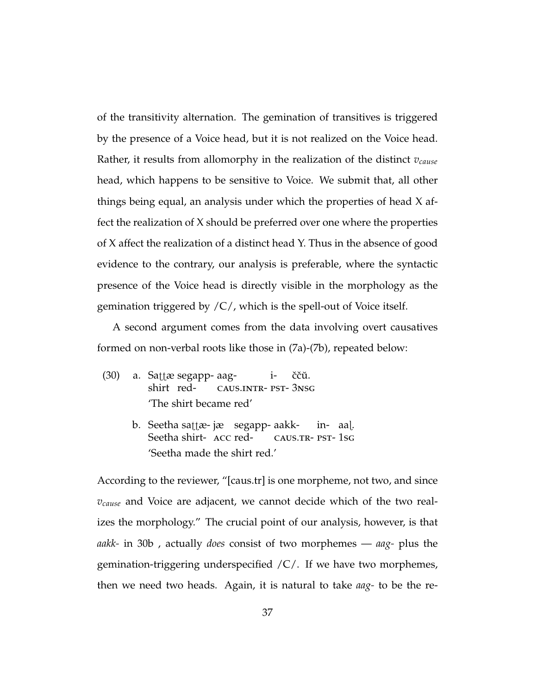of the transitivity alternation. The gemination of transitives is triggered by the presence of a Voice head, but it is not realized on the Voice head. Rather, it results from allomorphy in the realization of the distinct *vcause* head, which happens to be sensitive to Voice. We submit that, all other things being equal, an analysis under which the properties of head X affect the realization of X should be preferred over one where the properties of X affect the realization of a distinct head Y. Thus in the absence of good evidence to the contrary, our analysis is preferable, where the syntactic presence of the Voice head is directly visible in the morphology as the gemination triggered by  $\overline{C}/$ , which is the spell-out of Voice itself.

A second argument comes from the data involving overt causatives formed on non-verbal roots like those in (7a)-(7b), repeated below:

- (30) a. Sattæ segapp- aagshirt redcaus.intr-pst-3nsg iččŭ. 'The shirt became red'
	- b. Seetha sattæ- jæ ksegapp- aakk-Seetha shirt- ACC redcaus.tr-pst-1sg in-aaí. 'Seetha made the shirt red.'

According to the reviewer, "[caus.tr] is one morpheme, not two, and since *vcause* and Voice are adjacent, we cannot decide which of the two realizes the morphology." The crucial point of our analysis, however, is that *aakk-* in 30b , actually *does* consist of two morphemes — *aag-* plus the gemination-triggering underspecified /C/. If we have two morphemes, then we need two heads. Again, it is natural to take *aag-* to be the re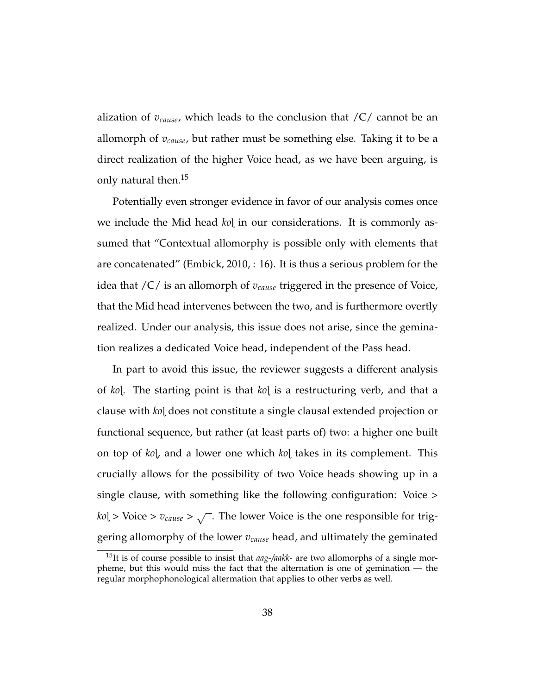alization of *vcause*, which leads to the conclusion that /C/ cannot be an allomorph of *vcause*, but rather must be something else. Taking it to be a direct realization of the higher Voice head, as we have been arguing, is only natural then.<sup>15</sup>

Potentially even stronger evidence in favor of our analysis comes once we include the Mid head *ko*í in our considerations. It is commonly assumed that "Contextual allomorphy is possible only with elements that are concatenated" (Embick, 2010, : 16). It is thus a serious problem for the idea that /C/ is an allomorph of *vcause* triggered in the presence of Voice, that the Mid head intervenes between the two, and is furthermore overtly realized. Under our analysis, this issue does not arise, since the gemination realizes a dedicated Voice head, independent of the Pass head.

In part to avoid this issue, the reviewer suggests a different analysis of *ko*í. The starting point is that *ko*í is a restructuring verb, and that a clause with *ko*í does not constitute a single clausal extended projection or functional sequence, but rather (at least parts of) two: a higher one built on top of *ko*í, and a lower one which *ko*í takes in its complement. This crucially allows for the possibility of two Voice heads showing up in a single clause, with something like the following configuration: Voice >  $k$ *o* $\vert$  > Voice >  $v_{cause}$  >  $\sqrt{\ }$ . The lower Voice is the one responsible for triggering allomorphy of the lower *vcause* head, and ultimately the geminated

<sup>15</sup>It is of course possible to insist that *aag-/aakk-* are two allomorphs of a single morpheme, but this would miss the fact that the alternation is one of gemination — the regular morphophonological altermation that applies to other verbs as well.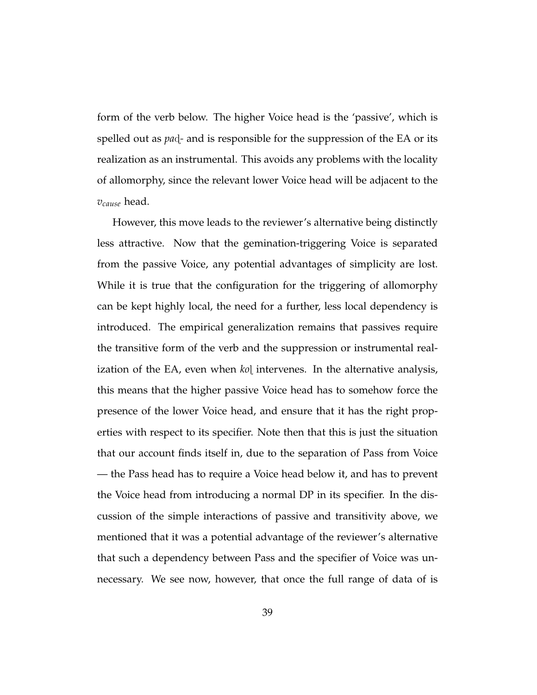form of the verb below. The higher Voice head is the 'passive', which is spelled out as *pa* $\alpha$ <sup>-</sup> and is responsible for the suppression of the EA or its realization as an instrumental. This avoids any problems with the locality of allomorphy, since the relevant lower Voice head will be adjacent to the *vcause* head.

However, this move leads to the reviewer's alternative being distinctly less attractive. Now that the gemination-triggering Voice is separated from the passive Voice, any potential advantages of simplicity are lost. While it is true that the configuration for the triggering of allomorphy can be kept highly local, the need for a further, less local dependency is introduced. The empirical generalization remains that passives require the transitive form of the verb and the suppression or instrumental realization of the EA, even when *ko* intervenes. In the alternative analysis, this means that the higher passive Voice head has to somehow force the presence of the lower Voice head, and ensure that it has the right properties with respect to its specifier. Note then that this is just the situation that our account finds itself in, due to the separation of Pass from Voice — the Pass head has to require a Voice head below it, and has to prevent the Voice head from introducing a normal DP in its specifier. In the discussion of the simple interactions of passive and transitivity above, we mentioned that it was a potential advantage of the reviewer's alternative that such a dependency between Pass and the specifier of Voice was unnecessary. We see now, however, that once the full range of data of is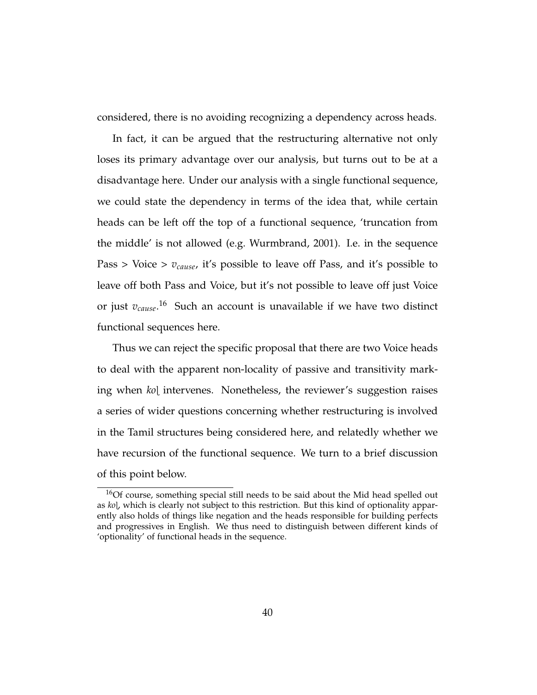considered, there is no avoiding recognizing a dependency across heads.

In fact, it can be argued that the restructuring alternative not only loses its primary advantage over our analysis, but turns out to be at a disadvantage here. Under our analysis with a single functional sequence, we could state the dependency in terms of the idea that, while certain heads can be left off the top of a functional sequence, 'truncation from the middle' is not allowed (e.g. Wurmbrand, 2001). I.e. in the sequence Pass > Voice > *vcause*, it's possible to leave off Pass, and it's possible to leave off both Pass and Voice, but it's not possible to leave off just Voice or just *vcause*. <sup>16</sup> Such an account is unavailable if we have two distinct functional sequences here.

Thus we can reject the specific proposal that there are two Voice heads to deal with the apparent non-locality of passive and transitivity marking when *ko*í intervenes. Nonetheless, the reviewer's suggestion raises a series of wider questions concerning whether restructuring is involved in the Tamil structures being considered here, and relatedly whether we have recursion of the functional sequence. We turn to a brief discussion of this point below.

<sup>16</sup>Of course, something special still needs to be said about the Mid head spelled out as *ko*í, which is clearly not subject to this restriction. But this kind of optionality apparently also holds of things like negation and the heads responsible for building perfects and progressives in English. We thus need to distinguish between different kinds of 'optionality' of functional heads in the sequence.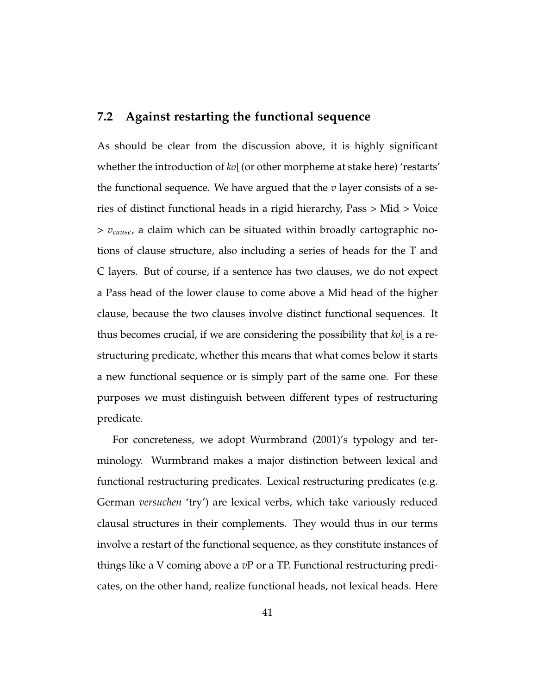#### **7.2 Against restarting the functional sequence**

As should be clear from the discussion above, it is highly significant whether the introduction of *ko*í (or other morpheme at stake here) 'restarts' the functional sequence. We have argued that the *v* layer consists of a series of distinct functional heads in a rigid hierarchy, Pass > Mid > Voice > *vcause*, a claim which can be situated within broadly cartographic notions of clause structure, also including a series of heads for the T and C layers. But of course, if a sentence has two clauses, we do not expect a Pass head of the lower clause to come above a Mid head of the higher clause, because the two clauses involve distinct functional sequences. It thus becomes crucial, if we are considering the possibility that *ko*í is a restructuring predicate, whether this means that what comes below it starts a new functional sequence or is simply part of the same one. For these purposes we must distinguish between different types of restructuring predicate.

For concreteness, we adopt Wurmbrand (2001)'s typology and terminology. Wurmbrand makes a major distinction between lexical and functional restructuring predicates. Lexical restructuring predicates (e.g. German *versuchen* 'try') are lexical verbs, which take variously reduced clausal structures in their complements. They would thus in our terms involve a restart of the functional sequence, as they constitute instances of things like a V coming above a *v*P or a TP. Functional restructuring predicates, on the other hand, realize functional heads, not lexical heads. Here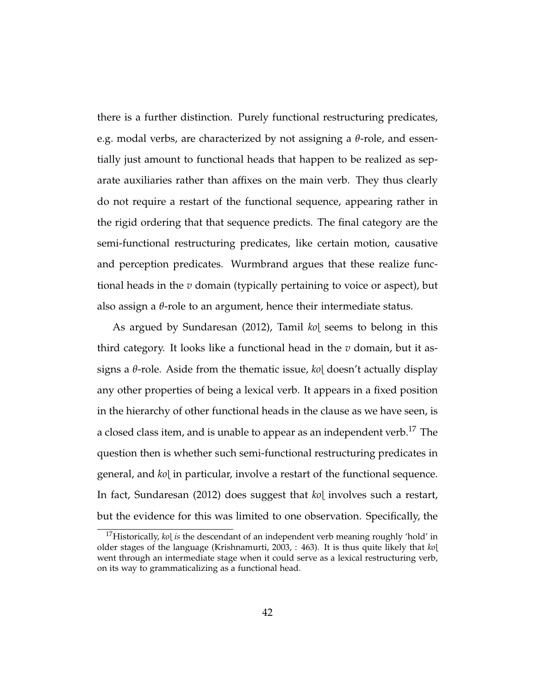there is a further distinction. Purely functional restructuring predicates, e.g. modal verbs, are characterized by not assigning a *θ*-role, and essentially just amount to functional heads that happen to be realized as separate auxiliaries rather than affixes on the main verb. They thus clearly do not require a restart of the functional sequence, appearing rather in the rigid ordering that that sequence predicts. The final category are the semi-functional restructuring predicates, like certain motion, causative and perception predicates. Wurmbrand argues that these realize functional heads in the *v* domain (typically pertaining to voice or aspect), but also assign a *θ*-role to an argument, hence their intermediate status.

As argued by Sundaresan (2012), Tamil *ko*l seems to belong in this third category. It looks like a functional head in the *v* domain, but it assigns a *θ*-role. Aside from the thematic issue, *ko*í doesn't actually display any other properties of being a lexical verb. It appears in a fixed position in the hierarchy of other functional heads in the clause as we have seen, is a closed class item, and is unable to appear as an independent verb.<sup>17</sup> The question then is whether such semi-functional restructuring predicates in general, and *ko*í in particular, involve a restart of the functional sequence. In fact, Sundaresan (2012) does suggest that *ko*l involves such a restart, but the evidence for this was limited to one observation. Specifically, the

<sup>&</sup>lt;sup>17</sup>Historically, *ko*] *is* the descendant of an independent verb meaning roughly 'hold' in older stages of the language (Krishnamurti, 2003, : 463). It is thus quite likely that *ko*í went through an intermediate stage when it could serve as a lexical restructuring verb, on its way to grammaticalizing as a functional head.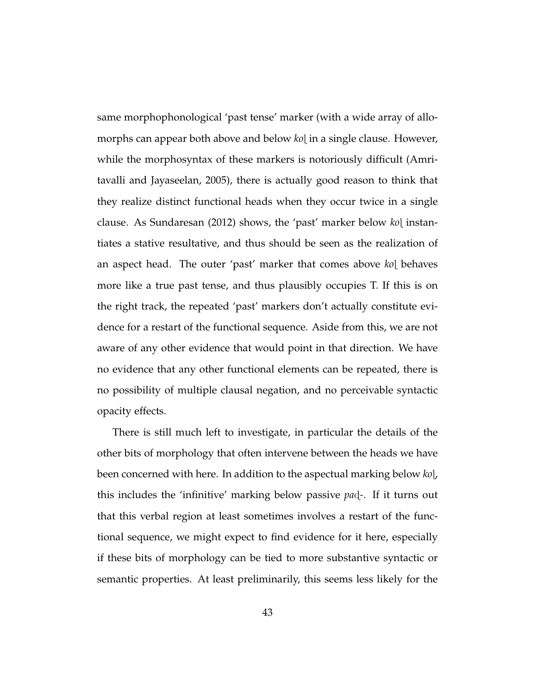same morphophonological 'past tense' marker (with a wide array of allomorphs can appear both above and below *ko*l in a single clause. However, while the morphosyntax of these markers is notoriously difficult (Amritavalli and Jayaseelan, 2005), there is actually good reason to think that they realize distinct functional heads when they occur twice in a single clause. As Sundaresan (2012) shows, the 'past' marker below *ko*í instantiates a stative resultative, and thus should be seen as the realization of an aspect head. The outer 'past' marker that comes above *ko*] behaves more like a true past tense, and thus plausibly occupies T. If this is on the right track, the repeated 'past' markers don't actually constitute evidence for a restart of the functional sequence. Aside from this, we are not aware of any other evidence that would point in that direction. We have no evidence that any other functional elements can be repeated, there is no possibility of multiple clausal negation, and no perceivable syntactic opacity effects.

There is still much left to investigate, in particular the details of the other bits of morphology that often intervene between the heads we have been concerned with here. In addition to the aspectual marking below *ko*í, this includes the 'infinitive' marking below passive *pa*ã*-*. If it turns out that this verbal region at least sometimes involves a restart of the functional sequence, we might expect to find evidence for it here, especially if these bits of morphology can be tied to more substantive syntactic or semantic properties. At least preliminarily, this seems less likely for the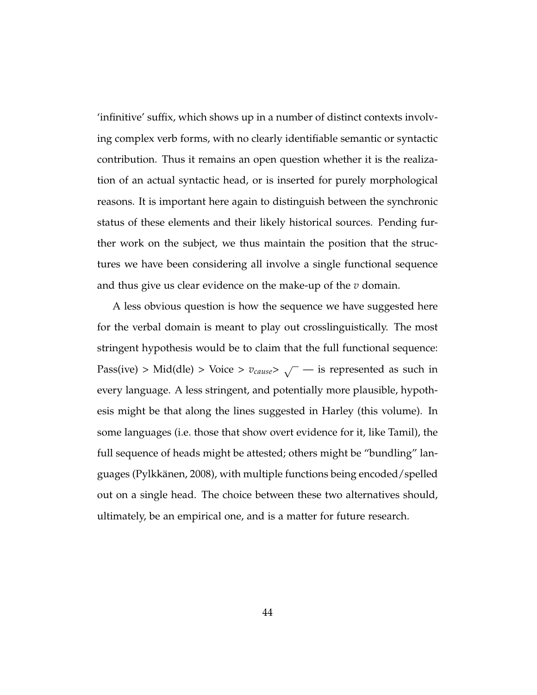'infinitive' suffix, which shows up in a number of distinct contexts involving complex verb forms, with no clearly identifiable semantic or syntactic contribution. Thus it remains an open question whether it is the realization of an actual syntactic head, or is inserted for purely morphological reasons. It is important here again to distinguish between the synchronic status of these elements and their likely historical sources. Pending further work on the subject, we thus maintain the position that the structures we have been considering all involve a single functional sequence and thus give us clear evidence on the make-up of the *v* domain.

A less obvious question is how the sequence we have suggested here for the verbal domain is meant to play out crosslinguistically. The most stringent hypothesis would be to claim that the full functional sequence:  $Pass(ive) > Mid(dle) > Voice > v_{cause} > \sqrt{ }$  — is represented as such in every language. A less stringent, and potentially more plausible, hypothesis might be that along the lines suggested in Harley (this volume). In some languages (i.e. those that show overt evidence for it, like Tamil), the full sequence of heads might be attested; others might be "bundling" languages (Pylkkänen, 2008), with multiple functions being encoded/spelled out on a single head. The choice between these two alternatives should, ultimately, be an empirical one, and is a matter for future research.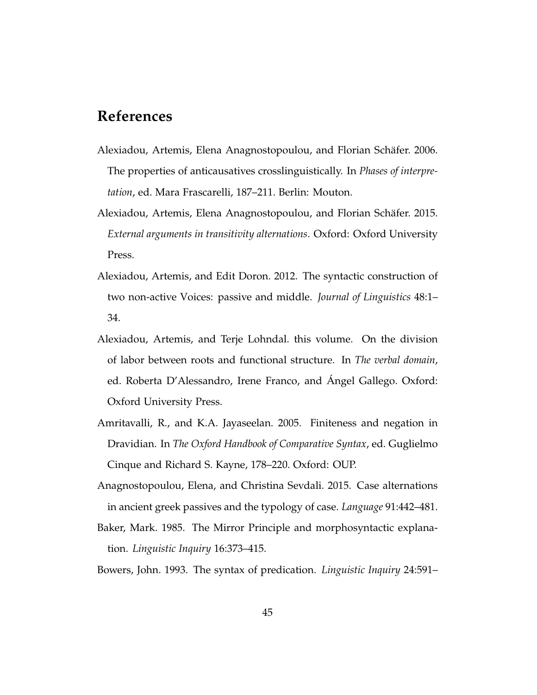# **References**

- Alexiadou, Artemis, Elena Anagnostopoulou, and Florian Schäfer. 2006. The properties of anticausatives crosslinguistically. In *Phases of interpretation*, ed. Mara Frascarelli, 187–211. Berlin: Mouton.
- Alexiadou, Artemis, Elena Anagnostopoulou, and Florian Schäfer. 2015. *External arguments in transitivity alternations*. Oxford: Oxford University Press.
- Alexiadou, Artemis, and Edit Doron. 2012. The syntactic construction of two non-active Voices: passive and middle. *Journal of Linguistics* 48:1– 34.
- Alexiadou, Artemis, and Terje Lohndal. this volume. On the division of labor between roots and functional structure. In *The verbal domain*, ed. Roberta D'Alessandro, Irene Franco, and Ángel Gallego. Oxford: Oxford University Press.
- Amritavalli, R., and K.A. Jayaseelan. 2005. Finiteness and negation in Dravidian. In *The Oxford Handbook of Comparative Syntax*, ed. Guglielmo Cinque and Richard S. Kayne, 178–220. Oxford: OUP.
- Anagnostopoulou, Elena, and Christina Sevdali. 2015. Case alternations in ancient greek passives and the typology of case. *Language* 91:442–481.
- Baker, Mark. 1985. The Mirror Principle and morphosyntactic explanation. *Linguistic Inquiry* 16:373–415.

Bowers, John. 1993. The syntax of predication. *Linguistic Inquiry* 24:591–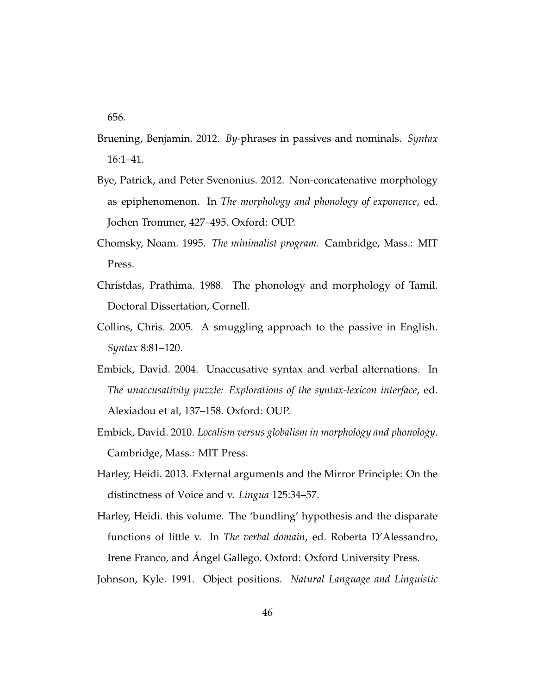656.

- Bruening, Benjamin. 2012. *By-*phrases in passives and nominals. *Syntax* 16:1–41.
- Bye, Patrick, and Peter Svenonius. 2012. Non-concatenative morphology as epiphenomenon. In *The morphology and phonology of exponence*, ed. Jochen Trommer, 427–495. Oxford: OUP.
- Chomsky, Noam. 1995. *The minimalist program*. Cambridge, Mass.: MIT Press.
- Christdas, Prathima. 1988. The phonology and morphology of Tamil. Doctoral Dissertation, Cornell.
- Collins, Chris. 2005. A smuggling approach to the passive in English. *Syntax* 8:81–120.
- Embick, David. 2004. Unaccusative syntax and verbal alternations. In *The unaccusativity puzzle: Explorations of the syntax-lexicon interface*, ed. Alexiadou et al, 137–158. Oxford: OUP.
- Embick, David. 2010. *Localism versus globalism in morphology and phonology*. Cambridge, Mass.: MIT Press.
- Harley, Heidi. 2013. External arguments and the Mirror Principle: On the distinctness of Voice and v. *Lingua* 125:34–57.
- Harley, Heidi. this volume. The 'bundling' hypothesis and the disparate functions of little v. In *The verbal domain*, ed. Roberta D'Alessandro, Irene Franco, and Ángel Gallego. Oxford: Oxford University Press.

Johnson, Kyle. 1991. Object positions. *Natural Language and Linguistic*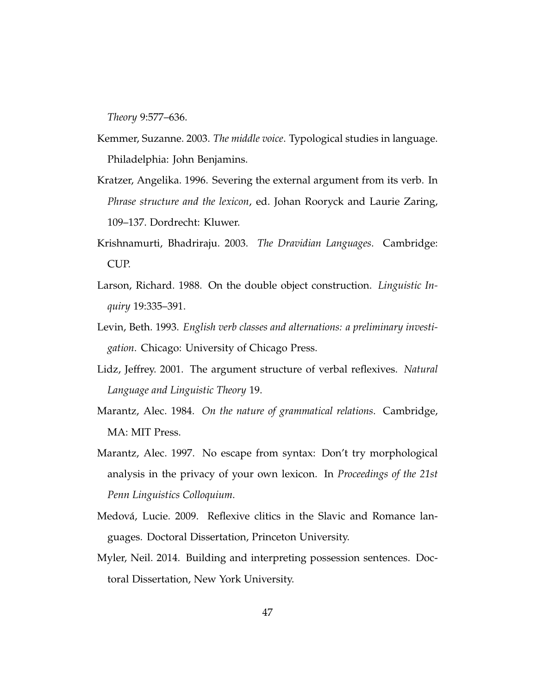*Theory* 9:577–636.

- Kemmer, Suzanne. 2003. *The middle voice*. Typological studies in language. Philadelphia: John Benjamins.
- Kratzer, Angelika. 1996. Severing the external argument from its verb. In *Phrase structure and the lexicon*, ed. Johan Rooryck and Laurie Zaring, 109–137. Dordrecht: Kluwer.
- Krishnamurti, Bhadriraju. 2003. *The Dravidian Languages*. Cambridge: CUP.
- Larson, Richard. 1988. On the double object construction. *Linguistic Inquiry* 19:335–391.
- Levin, Beth. 1993. *English verb classes and alternations: a preliminary investigation*. Chicago: University of Chicago Press.
- Lidz, Jeffrey. 2001. The argument structure of verbal reflexives. *Natural Language and Linguistic Theory* 19.
- Marantz, Alec. 1984. *On the nature of grammatical relations*. Cambridge, MA: MIT Press.
- Marantz, Alec. 1997. No escape from syntax: Don't try morphological analysis in the privacy of your own lexicon. In *Proceedings of the 21st Penn Linguistics Colloquium*.
- Medová, Lucie. 2009. Reflexive clitics in the Slavic and Romance languages. Doctoral Dissertation, Princeton University.
- Myler, Neil. 2014. Building and interpreting possession sentences. Doctoral Dissertation, New York University.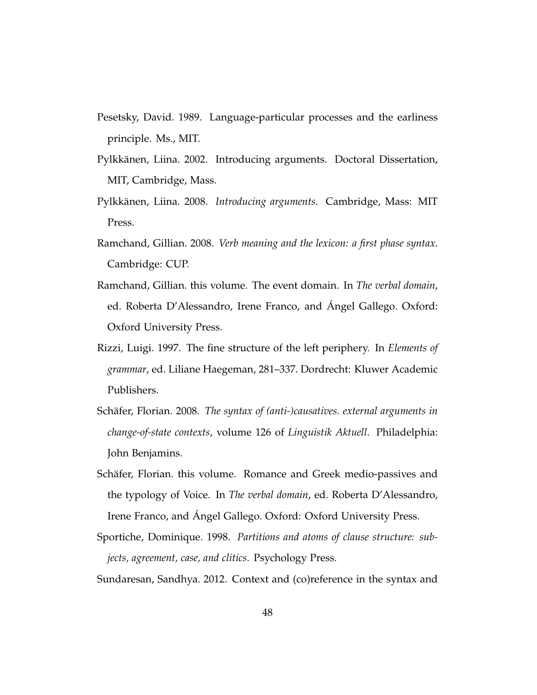- Pesetsky, David. 1989. Language-particular processes and the earliness principle. Ms., MIT.
- Pylkkänen, Liina. 2002. Introducing arguments. Doctoral Dissertation, MIT, Cambridge, Mass.
- Pylkkänen, Liina. 2008. *Introducing arguments*. Cambridge, Mass: MIT Press.
- Ramchand, Gillian. 2008. *Verb meaning and the lexicon: a first phase syntax*. Cambridge: CUP.
- Ramchand, Gillian. this volume. The event domain. In *The verbal domain*, ed. Roberta D'Alessandro, Irene Franco, and Ángel Gallego. Oxford: Oxford University Press.
- Rizzi, Luigi. 1997. The fine structure of the left periphery. In *Elements of grammar*, ed. Liliane Haegeman, 281–337. Dordrecht: Kluwer Academic Publishers.
- Schäfer, Florian. 2008. *The syntax of (anti-)causatives. external arguments in change-of-state contexts*, volume 126 of *Linguistik Aktuell*. Philadelphia: John Benjamins.
- Schäfer, Florian. this volume. Romance and Greek medio-passives and the typology of Voice. In *The verbal domain*, ed. Roberta D'Alessandro, Irene Franco, and Ángel Gallego. Oxford: Oxford University Press.
- Sportiche, Dominique. 1998. *Partitions and atoms of clause structure: subjects, agreement, case, and clitics*. Psychology Press.

Sundaresan, Sandhya. 2012. Context and (co)reference in the syntax and